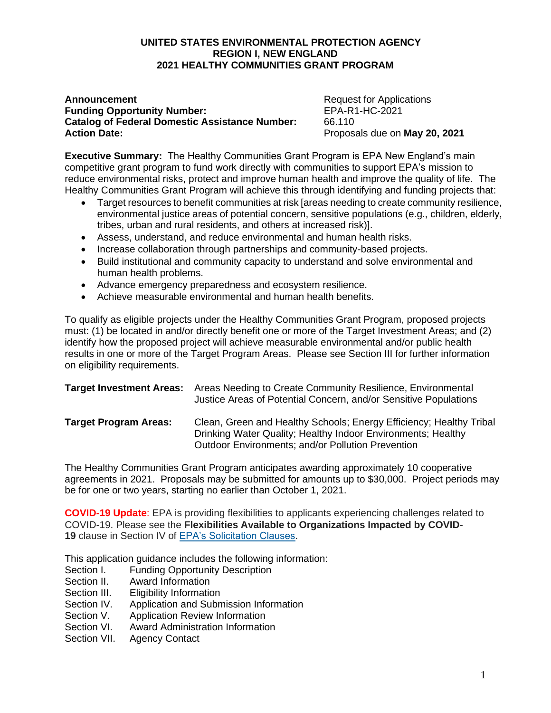#### **UNITED STATES ENVIRONMENTAL PROTECTION AGENCY REGION I, NEW ENGLAND 2021 HEALTHY COMMUNITIES GRANT PROGRAM**

#### **Announcement Announcement Request for Applications Funding Opportunity Number:** EPA-R1-HC-2021 **Catalog of Federal Domestic Assistance Number:** 66.110 **Action Date:** Proposals due on **May 20, 2021**

**Executive Summary:** The Healthy Communities Grant Program is EPA New England's main competitive grant program to fund work directly with communities to support EPA's mission to reduce environmental risks, protect and improve human health and improve the quality of life. The Healthy Communities Grant Program will achieve this through identifying and funding projects that:

- Target resources to benefit communities at risk [areas needing to create community resilience, environmental justice areas of potential concern, sensitive populations (e.g., children, elderly, tribes, urban and rural residents, and others at increased risk)].
- Assess, understand, and reduce environmental and human health risks.
- Increase collaboration through partnerships and community-based projects.
- Build institutional and community capacity to understand and solve environmental and human health problems.
- Advance emergency preparedness and ecosystem resilience.
- Achieve measurable environmental and human health benefits.

To qualify as eligible projects under the Healthy Communities Grant Program, proposed projects must: (1) be located in and/or directly benefit one or more of the Target Investment Areas; and (2) identify how the proposed project will achieve measurable environmental and/or public health results in one or more of the Target Program Areas. Please see Section III for further information on eligibility requirements.

|                              | <b>Target Investment Areas:</b> Areas Needing to Create Community Resilience, Environmental<br>Justice Areas of Potential Concern, and/or Sensitive Populations                          |
|------------------------------|------------------------------------------------------------------------------------------------------------------------------------------------------------------------------------------|
| <b>Target Program Areas:</b> | Clean, Green and Healthy Schools; Energy Efficiency; Healthy Tribal<br>Drinking Water Quality; Healthy Indoor Environments; Healthy<br>Outdoor Environments; and/or Pollution Prevention |

The Healthy Communities Grant Program anticipates awarding approximately 10 cooperative agreements in 2021. Proposals may be submitted for amounts up to \$30,000. Project periods may be for one or two years, starting no earlier than October 1, 2021.

**COVID-19 Update**: EPA is providing flexibilities to applicants experiencing challenges related to COVID-19. Please see the **Flexibilities Available to Organizations Impacted by COVID-19** clause in Section IV of [EPA's Solicitation Clauses.](https://www.epa.gov/grants/epa-solicitation-clauses)

This application guidance includes the following information:

- Section I. Funding Opportunity Description
- Section II. Award Information
- Section III. Eligibility Information
- Section IV. Application and Submission Information
- Section V. Application Review Information
- Section VI. Award Administration Information
- Section VII. Agency Contact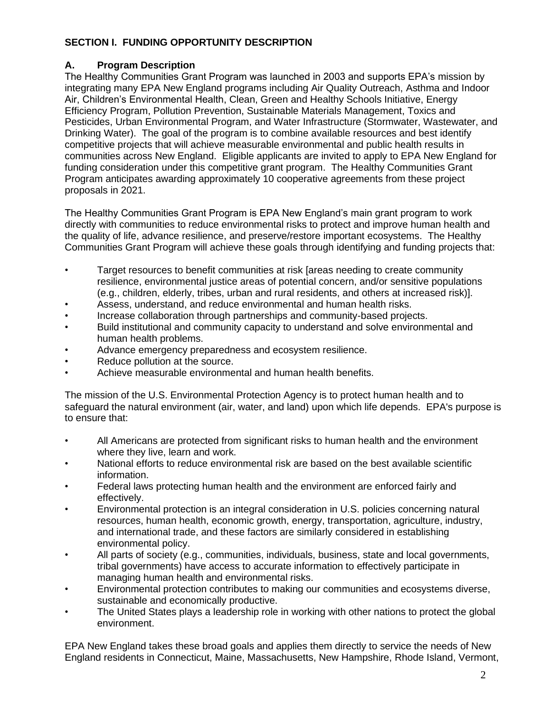#### **SECTION I. FUNDING OPPORTUNITY DESCRIPTION**

#### **A. Program Description**

The Healthy Communities Grant Program was launched in 2003 and supports EPA's mission by integrating many EPA New England programs including Air Quality Outreach, Asthma and Indoor Air, Children's Environmental Health, Clean, Green and Healthy Schools Initiative, Energy Efficiency Program, Pollution Prevention, Sustainable Materials Management, Toxics and Pesticides, Urban Environmental Program, and Water Infrastructure (Stormwater, Wastewater, and Drinking Water). The goal of the program is to combine available resources and best identify competitive projects that will achieve measurable environmental and public health results in communities across New England. Eligible applicants are invited to apply to EPA New England for funding consideration under this competitive grant program. The Healthy Communities Grant Program anticipates awarding approximately 10 cooperative agreements from these project proposals in 2021.

The Healthy Communities Grant Program is EPA New England's main grant program to work directly with communities to reduce environmental risks to protect and improve human health and the quality of life, advance resilience, and preserve/restore important ecosystems. The Healthy Communities Grant Program will achieve these goals through identifying and funding projects that:

- Target resources to benefit communities at risk [areas needing to create community resilience, environmental justice areas of potential concern, and/or sensitive populations (e.g., children, elderly, tribes, urban and rural residents, and others at increased risk)].
- Assess, understand, and reduce environmental and human health risks.
- Increase collaboration through partnerships and community-based projects.
- Build institutional and community capacity to understand and solve environmental and human health problems.
- Advance emergency preparedness and ecosystem resilience.
- Reduce pollution at the source.
- Achieve measurable environmental and human health benefits.

The mission of the U.S. Environmental Protection Agency is to protect human health and to safeguard the natural environment (air, water, and land) upon which life depends. EPA's purpose is to ensure that:

- All Americans are protected from significant risks to human health and the environment where they live, learn and work.
- National efforts to reduce environmental risk are based on the best available scientific information.
- Federal laws protecting human health and the environment are enforced fairly and effectively.
- Environmental protection is an integral consideration in U.S. policies concerning natural resources, human health, economic growth, energy, transportation, agriculture, industry, and international trade, and these factors are similarly considered in establishing environmental policy.
- All parts of society (e.g., communities, individuals, business, state and local governments, tribal governments) have access to accurate information to effectively participate in managing human health and environmental risks.
- Environmental protection contributes to making our communities and ecosystems diverse, sustainable and economically productive.
- The United States plays a leadership role in working with other nations to protect the global environment.

EPA New England takes these broad goals and applies them directly to service the needs of New England residents in Connecticut, Maine, Massachusetts, New Hampshire, Rhode Island, Vermont,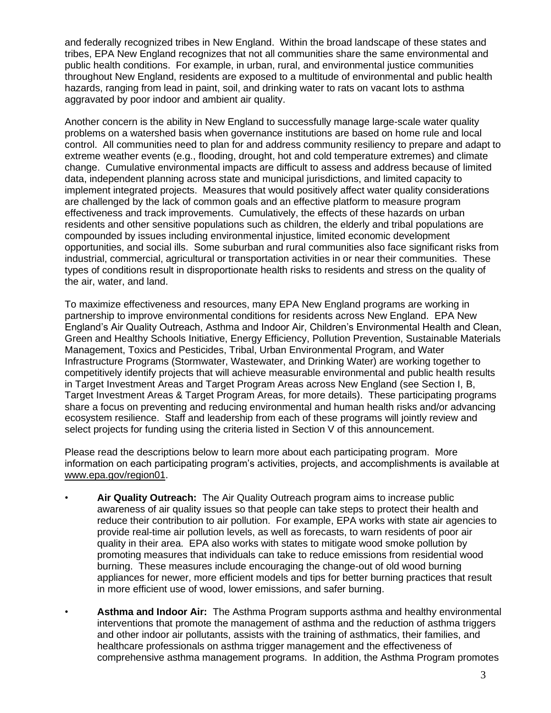and federally recognized tribes in New England. Within the broad landscape of these states and tribes, EPA New England recognizes that not all communities share the same environmental and public health conditions. For example, in urban, rural, and environmental justice communities throughout New England, residents are exposed to a multitude of environmental and public health hazards, ranging from lead in paint, soil, and drinking water to rats on vacant lots to asthma aggravated by poor indoor and ambient air quality.

Another concern is the ability in New England to successfully manage large-scale water quality problems on a watershed basis when governance institutions are based on home rule and local control. All communities need to plan for and address community resiliency to prepare and adapt to extreme weather events (e.g., flooding, drought, hot and cold temperature extremes) and climate change. Cumulative environmental impacts are difficult to assess and address because of limited data, independent planning across state and municipal jurisdictions, and limited capacity to implement integrated projects. Measures that would positively affect water quality considerations are challenged by the lack of common goals and an effective platform to measure program effectiveness and track improvements. Cumulatively, the effects of these hazards on urban residents and other sensitive populations such as children, the elderly and tribal populations are compounded by issues including environmental injustice, limited economic development opportunities, and social ills. Some suburban and rural communities also face significant risks from industrial, commercial, agricultural or transportation activities in or near their communities. These types of conditions result in disproportionate health risks to residents and stress on the quality of the air, water, and land.

To maximize effectiveness and resources, many EPA New England programs are working in partnership to improve environmental conditions for residents across New England. EPA New England's Air Quality Outreach, Asthma and Indoor Air, Children's Environmental Health and Clean, Green and Healthy Schools Initiative, Energy Efficiency, Pollution Prevention, Sustainable Materials Management, Toxics and Pesticides, Tribal, Urban Environmental Program, and Water Infrastructure Programs (Stormwater, Wastewater, and Drinking Water) are working together to competitively identify projects that will achieve measurable environmental and public health results in Target Investment Areas and Target Program Areas across New England (see Section I, B, Target Investment Areas & Target Program Areas, for more details). These participating programs share a focus on preventing and reducing environmental and human health risks and/or advancing ecosystem resilience. Staff and leadership from each of these programs will jointly review and select projects for funding using the criteria listed in Section V of this announcement.

Please read the descriptions below to learn more about each participating program. More information on each participating program's activities, projects, and accomplishments is available at [www.epa.gov/region01.](https://www.epa.gov/region01)

- **Air Quality Outreach:** The Air Quality Outreach program aims to increase public awareness of air quality issues so that people can take steps to protect their health and reduce their contribution to air pollution. For example, EPA works with state air agencies to provide real-time air pollution levels, as well as forecasts, to warn residents of poor air quality in their area. EPA also works with states to mitigate wood smoke pollution by promoting measures that individuals can take to reduce emissions from residential wood burning. These measures include encouraging the change-out of old wood burning appliances for newer, more efficient models and tips for better burning practices that result in more efficient use of wood, lower emissions, and safer burning.
- **Asthma and Indoor Air:** The Asthma Program supports asthma and healthy environmental interventions that promote the management of asthma and the reduction of asthma triggers and other indoor air pollutants, assists with the training of asthmatics, their families, and healthcare professionals on asthma trigger management and the effectiveness of comprehensive asthma management programs. In addition, the Asthma Program promotes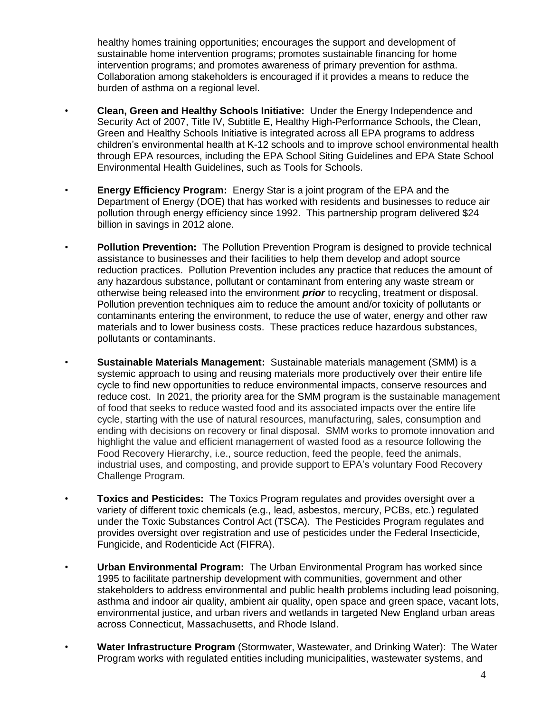healthy homes training opportunities; encourages the support and development of sustainable home intervention programs; promotes sustainable financing for home intervention programs; and promotes awareness of primary prevention for asthma. Collaboration among stakeholders is encouraged if it provides a means to reduce the burden of asthma on a regional level.

- **Clean, Green and Healthy Schools Initiative:** Under the Energy Independence and Security Act of 2007, Title IV, Subtitle E, Healthy High-Performance Schools, the Clean, Green and Healthy Schools Initiative is integrated across all EPA programs to address children's environmental health at K-12 schools and to improve school environmental health through EPA resources, including the EPA School Siting Guidelines and EPA State School Environmental Health Guidelines, such as Tools for Schools.
- **Energy Efficiency Program:** Energy Star is a joint program of the EPA and the Department of Energy (DOE) that has worked with residents and businesses to reduce air pollution through energy efficiency since 1992. This partnership program delivered \$24 billion in savings in 2012 alone.
- **Pollution Prevention:** The Pollution Prevention Program is designed to provide technical assistance to businesses and their facilities to help them develop and adopt source reduction practices. Pollution Prevention includes any practice that reduces the amount of any hazardous substance, pollutant or contaminant from entering any waste stream or otherwise being released into the environment *prior* to recycling, treatment or disposal. Pollution prevention techniques aim to reduce the amount and/or toxicity of pollutants or contaminants entering the environment, to reduce the use of water, energy and other raw materials and to lower business costs. These practices reduce hazardous substances, pollutants or contaminants.
- **Sustainable Materials Management:** Sustainable materials management (SMM) is a systemic approach to using and reusing materials more productively over their entire life cycle to find new opportunities to reduce environmental impacts, conserve resources and reduce cost. In 2021, the priority area for the SMM program is the sustainable management of food that seeks to reduce wasted food and its associated impacts over the entire life cycle, starting with the use of natural resources, manufacturing, sales, consumption and ending with decisions on recovery or final disposal. SMM works to promote innovation and highlight the value and efficient management of wasted food as a resource following the Food Recovery Hierarchy, i.e., source reduction, feed the people, feed the animals, industrial uses, and composting, and provide support to EPA's voluntary Food Recovery Challenge Program.
- **Toxics and Pesticides:** The Toxics Program regulates and provides oversight over a variety of different toxic chemicals (e.g., lead, asbestos, mercury, PCBs, etc.) regulated under the Toxic Substances Control Act (TSCA). The Pesticides Program regulates and provides oversight over registration and use of pesticides under the Federal Insecticide, Fungicide, and Rodenticide Act (FIFRA).
- **Urban Environmental Program:** The Urban Environmental Program has worked since 1995 to facilitate partnership development with communities, government and other stakeholders to address environmental and public health problems including lead poisoning, asthma and indoor air quality, ambient air quality, open space and green space, vacant lots, environmental justice, and urban rivers and wetlands in targeted New England urban areas across Connecticut, Massachusetts, and Rhode Island.
- **Water Infrastructure Program** (Stormwater, Wastewater, and Drinking Water): The Water Program works with regulated entities including municipalities, wastewater systems, and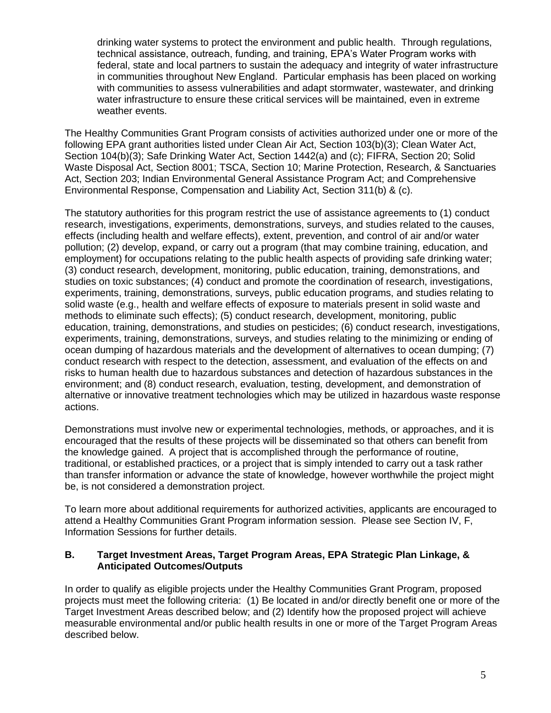drinking water systems to protect the environment and public health. Through regulations, technical assistance, outreach, funding, and training, EPA's Water Program works with federal, state and local partners to sustain the adequacy and integrity of water infrastructure in communities throughout New England. Particular emphasis has been placed on working with communities to assess vulnerabilities and adapt stormwater, wastewater, and drinking water infrastructure to ensure these critical services will be maintained, even in extreme weather events.

The Healthy Communities Grant Program consists of activities authorized under one or more of the following EPA grant authorities listed under Clean Air Act, Section 103(b)(3); Clean Water Act, Section 104(b)(3); Safe Drinking Water Act, Section 1442(a) and (c); FIFRA, Section 20; Solid Waste Disposal Act, Section 8001; TSCA, Section 10; Marine Protection, Research, & Sanctuaries Act, Section 203; Indian Environmental General Assistance Program Act; and Comprehensive Environmental Response, Compensation and Liability Act, Section 311(b) & (c).

The statutory authorities for this program restrict the use of assistance agreements to (1) conduct research, investigations, experiments, demonstrations, surveys, and studies related to the causes, effects (including health and welfare effects), extent, prevention, and control of air and/or water pollution; (2) develop, expand, or carry out a program (that may combine training, education, and employment) for occupations relating to the public health aspects of providing safe drinking water; (3) conduct research, development, monitoring, public education, training, demonstrations, and studies on toxic substances; (4) conduct and promote the coordination of research, investigations, experiments, training, demonstrations, surveys, public education programs, and studies relating to solid waste (e.g., health and welfare effects of exposure to materials present in solid waste and methods to eliminate such effects); (5) conduct research, development, monitoring, public education, training, demonstrations, and studies on pesticides; (6) conduct research, investigations, experiments, training, demonstrations, surveys, and studies relating to the minimizing or ending of ocean dumping of hazardous materials and the development of alternatives to ocean dumping; (7) conduct research with respect to the detection, assessment, and evaluation of the effects on and risks to human health due to hazardous substances and detection of hazardous substances in the environment; and (8) conduct research, evaluation, testing, development, and demonstration of alternative or innovative treatment technologies which may be utilized in hazardous waste response actions.

Demonstrations must involve new or experimental technologies, methods, or approaches, and it is encouraged that the results of these projects will be disseminated so that others can benefit from the knowledge gained. A project that is accomplished through the performance of routine, traditional, or established practices, or a project that is simply intended to carry out a task rather than transfer information or advance the state of knowledge, however worthwhile the project might be, is not considered a demonstration project.

To learn more about additional requirements for authorized activities, applicants are encouraged to attend a Healthy Communities Grant Program information session. Please see Section IV, F, Information Sessions for further details.

#### **B. Target Investment Areas, Target Program Areas, EPA Strategic Plan Linkage, & Anticipated Outcomes/Outputs**

In order to qualify as eligible projects under the Healthy Communities Grant Program, proposed projects must meet the following criteria: (1) Be located in and/or directly benefit one or more of the Target Investment Areas described below; and (2) Identify how the proposed project will achieve measurable environmental and/or public health results in one or more of the Target Program Areas described below.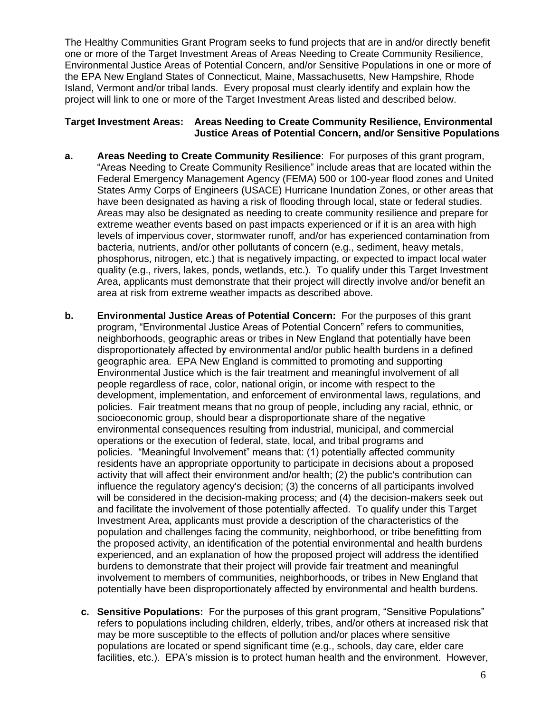The Healthy Communities Grant Program seeks to fund projects that are in and/or directly benefit one or more of the Target Investment Areas of Areas Needing to Create Community Resilience, Environmental Justice Areas of Potential Concern, and/or Sensitive Populations in one or more of the EPA New England States of Connecticut, Maine, Massachusetts, New Hampshire, Rhode Island, Vermont and/or tribal lands. Every proposal must clearly identify and explain how the project will link to one or more of the Target Investment Areas listed and described below.

#### **Target Investment Areas: Areas Needing to Create Community Resilience, Environmental Justice Areas of Potential Concern, and/or Sensitive Populations**

- **a. Areas Needing to Create Community Resilience**: For purposes of this grant program, "Areas Needing to Create Community Resilience" include areas that are located within the Federal Emergency Management Agency (FEMA) 500 or 100-year flood zones and United States Army Corps of Engineers (USACE) Hurricane Inundation Zones, or other areas that have been designated as having a risk of flooding through local, state or federal studies. Areas may also be designated as needing to create community resilience and prepare for extreme weather events based on past impacts experienced or if it is an area with high levels of impervious cover, stormwater runoff, and/or has experienced contamination from bacteria, nutrients, and/or other pollutants of concern (e.g., sediment, heavy metals, phosphorus, nitrogen, etc.) that is negatively impacting, or expected to impact local water quality (e.g., rivers, lakes, ponds, wetlands, etc.). To qualify under this Target Investment Area, applicants must demonstrate that their project will directly involve and/or benefit an area at risk from extreme weather impacts as described above.
- **b. Environmental Justice Areas of Potential Concern:** For the purposes of this grant program, "Environmental Justice Areas of Potential Concern" refers to communities, neighborhoods, geographic areas or tribes in New England that potentially have been disproportionately affected by environmental and/or public health burdens in a defined geographic area. EPA New England is committed to promoting and supporting Environmental Justice which is the fair treatment and meaningful involvement of all people regardless of race, color, national origin, or income with respect to the development, implementation, and enforcement of environmental laws, regulations, and policies. Fair treatment means that no group of people, including any racial, ethnic, or socioeconomic group, should bear a disproportionate share of the negative environmental consequences resulting from industrial, municipal, and commercial operations or the execution of federal, state, local, and tribal programs and policies. "Meaningful Involvement" means that: (1) potentially affected community residents have an appropriate opportunity to participate in decisions about a proposed activity that will affect their environment and/or health; (2) the public's contribution can influence the regulatory agency's decision; (3) the concerns of all participants involved will be considered in the decision-making process; and (4) the decision-makers seek out and facilitate the involvement of those potentially affected. To qualify under this Target Investment Area, applicants must provide a description of the characteristics of the population and challenges facing the community, neighborhood, or tribe benefitting from the proposed activity, an identification of the potential environmental and health burdens experienced, and an explanation of how the proposed project will address the identified burdens to demonstrate that their project will provide fair treatment and meaningful involvement to members of communities, neighborhoods, or tribes in New England that potentially have been disproportionately affected by environmental and health burdens.
	- **c. Sensitive Populations:** For the purposes of this grant program, "Sensitive Populations" refers to populations including children, elderly, tribes, and/or others at increased risk that may be more susceptible to the effects of pollution and/or places where sensitive populations are located or spend significant time (e.g., schools, day care, elder care facilities, etc.). EPA's mission is to protect human health and the environment. However,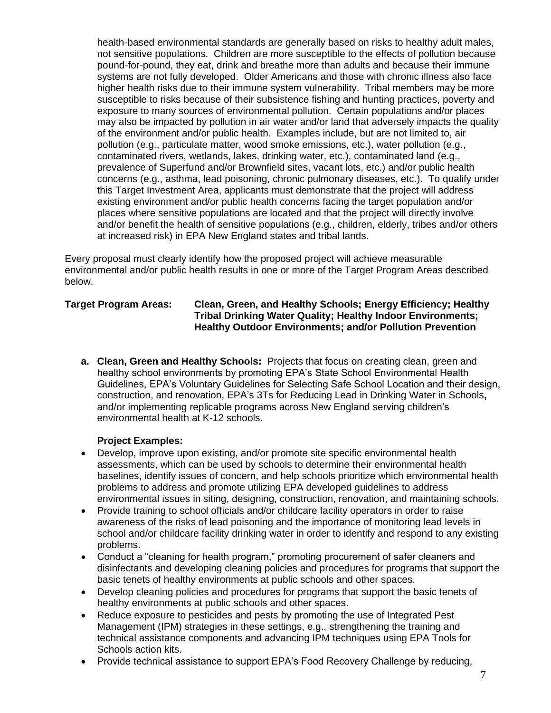health-based environmental standards are generally based on risks to healthy adult males, not sensitive populations. Children are more susceptible to the effects of pollution because pound-for-pound, they eat, drink and breathe more than adults and because their immune systems are not fully developed. Older Americans and those with chronic illness also face higher health risks due to their immune system vulnerability. Tribal members may be more susceptible to risks because of their subsistence fishing and hunting practices, poverty and exposure to many sources of environmental pollution. Certain populations and/or places may also be impacted by pollution in air water and/or land that adversely impacts the quality of the environment and/or public health. Examples include, but are not limited to, air pollution (e.g., particulate matter, wood smoke emissions, etc.), water pollution (e.g., contaminated rivers, wetlands, lakes, drinking water, etc.), contaminated land (e.g., prevalence of Superfund and/or Brownfield sites, vacant lots, etc.) and/or public health concerns (e.g., asthma, lead poisoning, chronic pulmonary diseases, etc.). To qualify under this Target Investment Area, applicants must demonstrate that the project will address existing environment and/or public health concerns facing the target population and/or places where sensitive populations are located and that the project will directly involve and/or benefit the health of sensitive populations (e.g., children, elderly, tribes and/or others at increased risk) in EPA New England states and tribal lands.

Every proposal must clearly identify how the proposed project will achieve measurable environmental and/or public health results in one or more of the Target Program Areas described below.

#### **Target Program Areas: Clean, Green, and Healthy Schools; Energy Efficiency; Healthy Tribal Drinking Water Quality; Healthy Indoor Environments; Healthy Outdoor Environments; and/or Pollution Prevention**

**a. Clean, Green and Healthy Schools:** Projects that focus on creating clean, green and healthy school environments by promoting EPA's State School Environmental Health Guidelines, EPA's Voluntary Guidelines for Selecting Safe School Location and their design, construction, and renovation, EPA's [3Ts for Reducing Lead in Drinking Water in Schools](https://www.epa.gov/sites/production/files/2015-09/documents/toolkit_leadschools_guide_3ts_leadschools.pdf)**,**  and/or implementing replicable programs across New England serving children's environmental health at K-12 schools.

#### **Project Examples:**

- Develop, improve upon existing, and/or promote site specific environmental health assessments, which can be used by schools to determine their environmental health baselines, identify issues of concern, and help schools prioritize which environmental health problems to address and promote utilizing EPA developed guidelines to address environmental issues in siting, designing, construction, renovation, and maintaining schools.
- Provide training to school officials and/or childcare facility operators in order to raise awareness of the risks of lead poisoning and the importance of monitoring lead levels in school and/or childcare facility drinking water in order to identify and respond to any existing problems.
- Conduct a "cleaning for health program," promoting procurement of safer cleaners and disinfectants and developing cleaning policies and procedures for programs that support the basic tenets of healthy environments at public schools and other spaces.
- Develop cleaning policies and procedures for programs that support the basic tenets of healthy environments at public schools and other spaces.
- Reduce exposure to pesticides and pests by promoting the use of Integrated Pest Management (IPM) strategies in these settings, e.g., strengthening the training and technical assistance components and advancing IPM techniques using EPA Tools for Schools action kits.
- Provide technical assistance to support EPA's Food Recovery Challenge by reducing,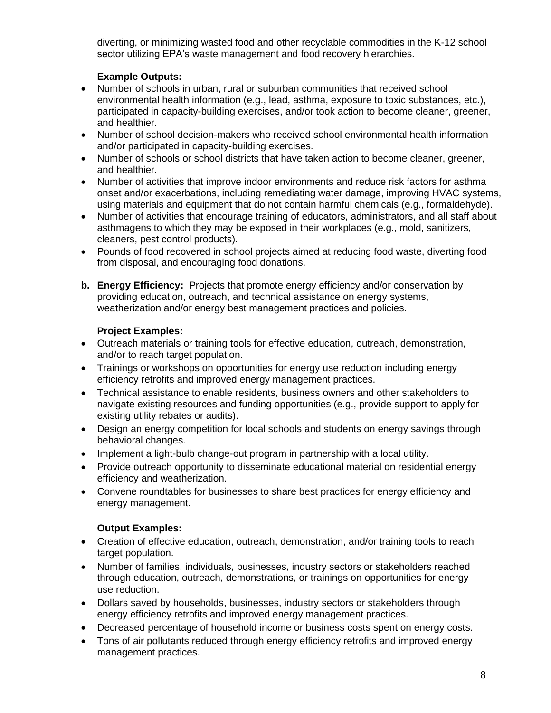diverting, or minimizing wasted food and other recyclable commodities in the K-12 school sector utilizing EPA's waste management and food recovery hierarchies.

#### **Example Outputs:**

- Number of schools in urban, rural or suburban communities that received school environmental health information (e.g., lead, asthma, exposure to toxic substances, etc.), participated in capacity-building exercises, and/or took action to become cleaner, greener, and healthier.
- Number of school decision-makers who received school environmental health information and/or participated in capacity-building exercises.
- Number of schools or school districts that have taken action to become cleaner, greener, and healthier.
- Number of activities that improve indoor environments and reduce risk factors for asthma onset and/or exacerbations, including remediating water damage, improving HVAC systems, using materials and equipment that do not contain harmful chemicals (e.g., formaldehyde).
- Number of activities that encourage training of educators, administrators, and all staff about asthmagens to which they may be exposed in their workplaces (e.g., mold, sanitizers, cleaners, pest control products).
- Pounds of food recovered in school projects aimed at reducing food waste, diverting food from disposal, and encouraging food donations.
- **b. Energy Efficiency:** Projects that promote energy efficiency and/or conservation by providing education, outreach, and technical assistance on energy systems, weatherization and/or energy best management practices and policies.

#### **Project Examples:**

- Outreach materials or training tools for effective education, outreach, demonstration, and/or to reach target population.
- Trainings or workshops on opportunities for energy use reduction including energy efficiency retrofits and improved energy management practices.
- Technical assistance to enable residents, business owners and other stakeholders to navigate existing resources and funding opportunities (e.g., provide support to apply for existing utility rebates or audits).
- Design an energy competition for local schools and students on energy savings through behavioral changes.
- Implement a light-bulb change-out program in partnership with a local utility.
- Provide outreach opportunity to disseminate educational material on residential energy efficiency and weatherization.
- Convene roundtables for businesses to share best practices for energy efficiency and energy management.

#### **Output Examples:**

- Creation of effective education, outreach, demonstration, and/or training tools to reach target population.
- Number of families, individuals, businesses, industry sectors or stakeholders reached through education, outreach, demonstrations, or trainings on opportunities for energy use reduction.
- Dollars saved by households, businesses, industry sectors or stakeholders through energy efficiency retrofits and improved energy management practices.
- Decreased percentage of household income or business costs spent on energy costs.
- Tons of air pollutants reduced through energy efficiency retrofits and improved energy management practices.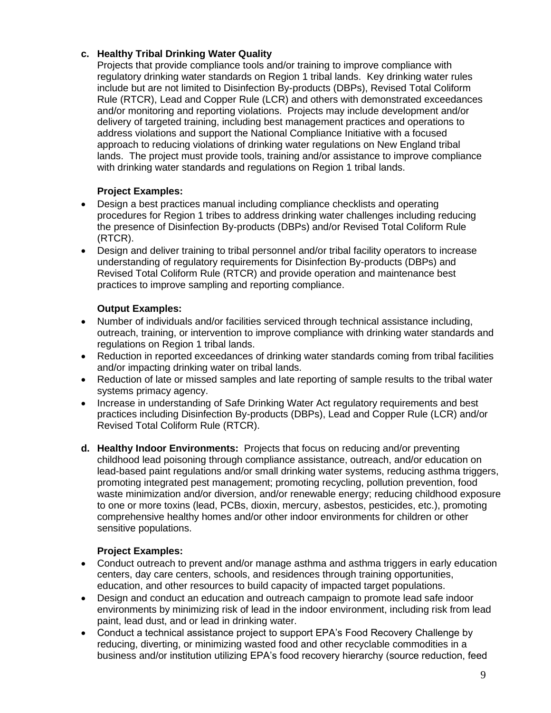#### **c. Healthy Tribal Drinking Water Quality**

Projects that provide compliance tools and/or training to improve compliance with regulatory drinking water standards on Region 1 tribal lands. Key drinking water rules include but are not limited to Disinfection By-products (DBPs), Revised Total Coliform Rule (RTCR), Lead and Copper Rule (LCR) and others with demonstrated exceedances and/or monitoring and reporting violations. Projects may include development and/or delivery of targeted training, including best management practices and operations to address violations and support the National Compliance Initiative with a focused approach to reducing violations of drinking water regulations on New England tribal lands. The project must provide tools, training and/or assistance to improve compliance with drinking water standards and regulations on Region 1 tribal lands.

#### **Project Examples:**

- Design a best practices manual including compliance checklists and operating procedures for Region 1 tribes to address drinking water challenges including reducing the presence of Disinfection By-products (DBPs) and/or Revised Total Coliform Rule (RTCR).
- Design and deliver training to tribal personnel and/or tribal facility operators to increase understanding of regulatory requirements for Disinfection By-products (DBPs) and Revised Total Coliform Rule (RTCR) and provide operation and maintenance best practices to improve sampling and reporting compliance.

#### **Output Examples:**

- Number of individuals and/or facilities serviced through technical assistance including, outreach, training, or intervention to improve compliance with drinking water standards and regulations on Region 1 tribal lands.
- Reduction in reported exceedances of drinking water standards coming from tribal facilities and/or impacting drinking water on tribal lands.
- Reduction of late or missed samples and late reporting of sample results to the tribal water systems primacy agency.
- Increase in understanding of Safe Drinking Water Act regulatory requirements and best practices including Disinfection By-products (DBPs), Lead and Copper Rule (LCR) and/or Revised Total Coliform Rule (RTCR).
- **d. Healthy Indoor Environments:** Projects that focus on reducing and/or preventing childhood lead poisoning through compliance assistance, outreach, and/or education on lead-based paint regulations and/or small drinking water systems, reducing asthma triggers, promoting integrated pest management; promoting recycling, pollution prevention, food waste minimization and/or diversion, and/or renewable energy; reducing childhood exposure to one or more toxins (lead, PCBs, dioxin, mercury, asbestos, pesticides, etc.), promoting comprehensive healthy homes and/or other indoor environments for children or other sensitive populations.

#### **Project Examples:**

- Conduct outreach to prevent and/or manage asthma and asthma triggers in early education centers, day care centers, schools, and residences through training opportunities, education, and other resources to build capacity of impacted target populations.
- Design and conduct an education and outreach campaign to promote lead safe indoor environments by minimizing risk of lead in the indoor environment, including risk from lead paint, lead dust, and or lead in drinking water.
- Conduct a technical assistance project to support EPA's Food Recovery Challenge by reducing, diverting, or minimizing wasted food and other recyclable commodities in a business and/or institution utilizing EPA's food recovery hierarchy (source reduction, feed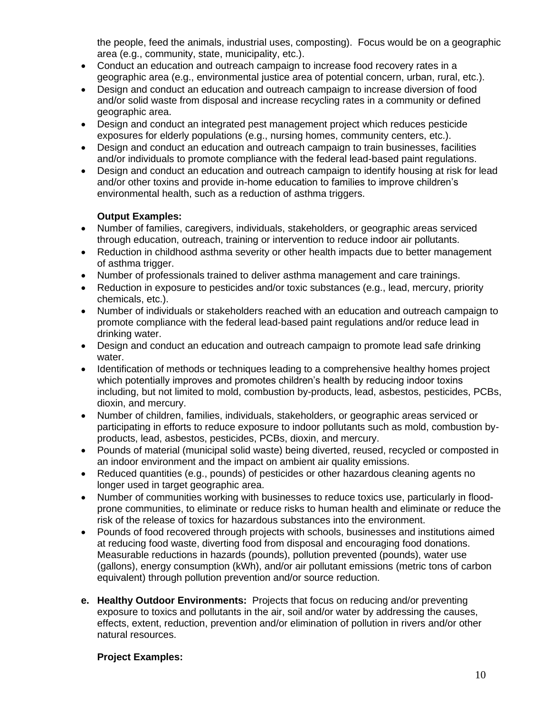the people, feed the animals, industrial uses, composting). Focus would be on a geographic area (e.g., community, state, municipality, etc.).

- Conduct an education and outreach campaign to increase food recovery rates in a geographic area (e.g., environmental justice area of potential concern, urban, rural, etc.).
- Design and conduct an education and outreach campaign to increase diversion of food and/or solid waste from disposal and increase recycling rates in a community or defined geographic area.
- Design and conduct an integrated pest management project which reduces pesticide exposures for elderly populations (e.g., nursing homes, community centers, etc.).
- Design and conduct an education and outreach campaign to train businesses, facilities and/or individuals to promote compliance with the federal lead-based paint regulations.
- Design and conduct an education and outreach campaign to identify housing at risk for lead and/or other toxins and provide in-home education to families to improve children's environmental health, such as a reduction of asthma triggers.

#### **Output Examples:**

- Number of families, caregivers, individuals, stakeholders, or geographic areas serviced through education, outreach, training or intervention to reduce indoor air pollutants.
- Reduction in childhood asthma severity or other health impacts due to better management of asthma trigger.
- Number of professionals trained to deliver asthma management and care trainings.
- Reduction in exposure to pesticides and/or toxic substances (e.g., lead, mercury, priority chemicals, etc.).
- Number of individuals or stakeholders reached with an education and outreach campaign to promote compliance with the federal lead-based paint regulations and/or reduce lead in drinking water.
- Design and conduct an education and outreach campaign to promote lead safe drinking water.
- Identification of methods or techniques leading to a comprehensive healthy homes project which potentially improves and promotes children's health by reducing indoor toxins including, but not limited to mold, combustion by-products, lead, asbestos, pesticides, PCBs, dioxin, and mercury.
- Number of children, families, individuals, stakeholders, or geographic areas serviced or participating in efforts to reduce exposure to indoor pollutants such as mold, combustion byproducts, lead, asbestos, pesticides, PCBs, dioxin, and mercury.
- Pounds of material (municipal solid waste) being diverted, reused, recycled or composted in an indoor environment and the impact on ambient air quality emissions.
- Reduced quantities (e.g., pounds) of pesticides or other hazardous cleaning agents no longer used in target geographic area.
- Number of communities working with businesses to reduce toxics use, particularly in floodprone communities, to eliminate or reduce risks to human health and eliminate or reduce the risk of the release of toxics for hazardous substances into the environment.
- Pounds of food recovered through projects with schools, businesses and institutions aimed at reducing food waste, diverting food from disposal and encouraging food donations. Measurable reductions in hazards (pounds), pollution prevented (pounds), water use (gallons), energy consumption (kWh), and/or air pollutant emissions (metric tons of carbon equivalent) through pollution prevention and/or source reduction.
- **e. Healthy Outdoor Environments:** Projects that focus on reducing and/or preventing exposure to toxics and pollutants in the air, soil and/or water by addressing the causes, effects, extent, reduction, prevention and/or elimination of pollution in rivers and/or other natural resources.

#### **Project Examples:**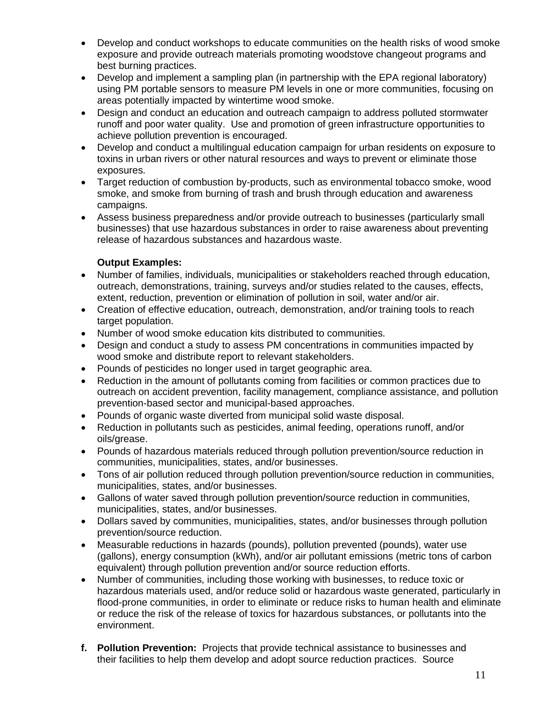- Develop and conduct workshops to educate communities on the health risks of wood smoke exposure and provide outreach materials promoting woodstove changeout programs and best burning practices.
- Develop and implement a sampling plan (in partnership with the EPA regional laboratory) using PM portable sensors to measure PM levels in one or more communities, focusing on areas potentially impacted by wintertime wood smoke.
- Design and conduct an education and outreach campaign to address polluted stormwater runoff and poor water quality. Use and promotion of green infrastructure opportunities to achieve pollution prevention is encouraged.
- Develop and conduct a multilingual education campaign for urban residents on exposure to toxins in urban rivers or other natural resources and ways to prevent or eliminate those exposures.
- Target reduction of combustion by-products, such as environmental tobacco smoke, wood smoke, and smoke from burning of trash and brush through education and awareness campaigns.
- Assess business preparedness and/or provide outreach to businesses (particularly small businesses) that use hazardous substances in order to raise awareness about preventing release of hazardous substances and hazardous waste.

#### **Output Examples:**

- Number of families, individuals, municipalities or stakeholders reached through education, outreach, demonstrations, training, surveys and/or studies related to the causes, effects, extent, reduction, prevention or elimination of pollution in soil, water and/or air.
- Creation of effective education, outreach, demonstration, and/or training tools to reach target population.
- Number of wood smoke education kits distributed to communities.
- Design and conduct a study to assess PM concentrations in communities impacted by wood smoke and distribute report to relevant stakeholders.
- Pounds of pesticides no longer used in target geographic area.
- Reduction in the amount of pollutants coming from facilities or common practices due to outreach on accident prevention, facility management, compliance assistance, and pollution prevention-based sector and municipal-based approaches.
- Pounds of organic waste diverted from municipal solid waste disposal.
- Reduction in pollutants such as pesticides, animal feeding, operations runoff, and/or oils/grease.
- Pounds of hazardous materials reduced through pollution prevention/source reduction in communities, municipalities, states, and/or businesses.
- Tons of air pollution reduced through pollution prevention/source reduction in communities, municipalities, states, and/or businesses.
- Gallons of water saved through pollution prevention/source reduction in communities, municipalities, states, and/or businesses.
- Dollars saved by communities, municipalities, states, and/or businesses through pollution prevention/source reduction.
- Measurable reductions in hazards (pounds), pollution prevented (pounds), water use (gallons), energy consumption (kWh), and/or air pollutant emissions (metric tons of carbon equivalent) through pollution prevention and/or source reduction efforts.
- Number of communities, including those working with businesses, to reduce toxic or hazardous materials used, and/or reduce solid or hazardous waste generated, particularly in flood-prone communities, in order to eliminate or reduce risks to human health and eliminate or reduce the risk of the release of toxics for hazardous substances, or pollutants into the environment.
- **f. Pollution Prevention:** Projects that provide technical assistance to businesses and their facilities to help them develop and adopt source reduction practices. Source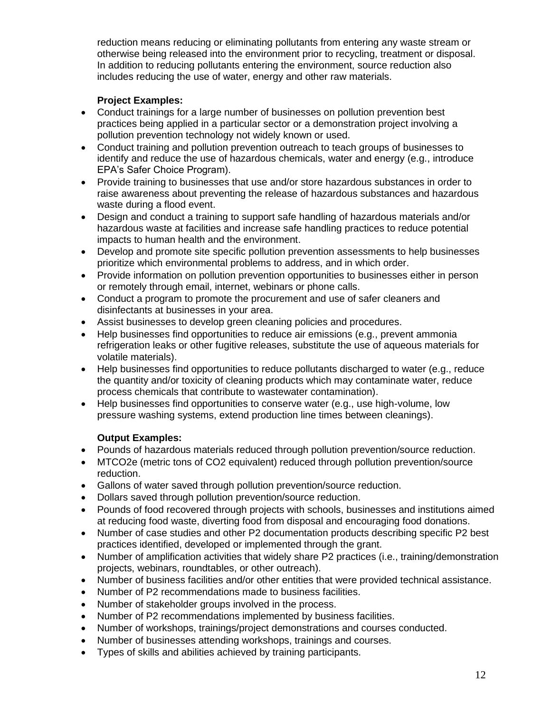reduction means reducing or eliminating pollutants from entering any waste stream or otherwise being released into the environment prior to recycling, treatment or disposal. In addition to reducing pollutants entering the environment, source reduction also includes reducing the use of water, energy and other raw materials.

#### **Project Examples:**

- Conduct trainings for a large number of businesses on pollution prevention best practices being applied in a particular sector or a demonstration project involving a pollution prevention technology not widely known or used.
- Conduct training and pollution prevention outreach to teach groups of businesses to identify and reduce the use of hazardous chemicals, water and energy (e.g., introduce EPA's Safer Choice Program).
- Provide training to businesses that use and/or store hazardous substances in order to raise awareness about preventing the release of hazardous substances and hazardous waste during a flood event.
- Design and conduct a training to support safe handling of hazardous materials and/or hazardous waste at facilities and increase safe handling practices to reduce potential impacts to human health and the environment.
- Develop and promote site specific pollution prevention assessments to help businesses prioritize which environmental problems to address, and in which order.
- Provide information on pollution prevention opportunities to businesses either in person or remotely through email, internet, webinars or phone calls.
- Conduct a program to promote the procurement and use of safer cleaners and disinfectants at businesses in your area.
- Assist businesses to develop green cleaning policies and procedures.
- Help businesses find opportunities to reduce air emissions (e.g., prevent ammonia refrigeration leaks or other fugitive releases, substitute the use of aqueous materials for volatile materials).
- Help businesses find opportunities to reduce pollutants discharged to water (e.g., reduce the quantity and/or toxicity of cleaning products which may contaminate water, reduce process chemicals that contribute to wastewater contamination).
- Help businesses find opportunities to conserve water (e.g., use high-volume, low pressure washing systems, extend production line times between cleanings).

#### **Output Examples:**

- Pounds of hazardous materials reduced through pollution prevention/source reduction.
- MTCO2e (metric tons of CO2 equivalent) reduced through pollution prevention/source reduction.
- Gallons of water saved through pollution prevention/source reduction.
- Dollars saved through pollution prevention/source reduction.
- Pounds of food recovered through projects with schools, businesses and institutions aimed at reducing food waste, diverting food from disposal and encouraging food donations.
- Number of case studies and other P2 documentation products describing specific P2 best practices identified, developed or implemented through the grant.
- Number of amplification activities that widely share P2 practices (i.e., training/demonstration projects, webinars, roundtables, or other outreach).
- Number of business facilities and/or other entities that were provided technical assistance.
- Number of P2 recommendations made to business facilities.
- Number of stakeholder groups involved in the process.
- Number of P2 recommendations implemented by business facilities.
- Number of workshops, trainings/project demonstrations and courses conducted.
- Number of businesses attending workshops, trainings and courses.
- Types of skills and abilities achieved by training participants.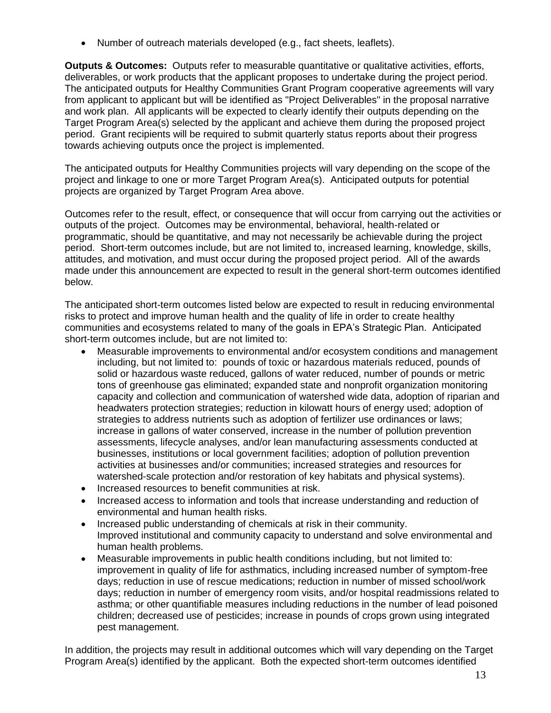• Number of outreach materials developed (e.g., fact sheets, leaflets).

**Outputs & Outcomes:** Outputs refer to measurable quantitative or qualitative activities, efforts, deliverables, or work products that the applicant proposes to undertake during the project period. The anticipated outputs for Healthy Communities Grant Program cooperative agreements will vary from applicant to applicant but will be identified as "Project Deliverables" in the proposal narrative and work plan. All applicants will be expected to clearly identify their outputs depending on the Target Program Area(s) selected by the applicant and achieve them during the proposed project period. Grant recipients will be required to submit quarterly status reports about their progress towards achieving outputs once the project is implemented.

The anticipated outputs for Healthy Communities projects will vary depending on the scope of the project and linkage to one or more Target Program Area(s). Anticipated outputs for potential projects are organized by Target Program Area above.

Outcomes refer to the result, effect, or consequence that will occur from carrying out the activities or outputs of the project. Outcomes may be environmental, behavioral, health-related or programmatic, should be quantitative, and may not necessarily be achievable during the project period. Short-term outcomes include, but are not limited to, increased learning, knowledge, skills, attitudes, and motivation, and must occur during the proposed project period. All of the awards made under this announcement are expected to result in the general short-term outcomes identified below.

The anticipated short-term outcomes listed below are expected to result in reducing environmental risks to protect and improve human health and the quality of life in order to create healthy communities and ecosystems related to many of the goals in EPA's Strategic Plan. Anticipated short-term outcomes include, but are not limited to:

- Measurable improvements to environmental and/or ecosystem conditions and management including, but not limited to: pounds of toxic or hazardous materials reduced, pounds of solid or hazardous waste reduced, gallons of water reduced, number of pounds or metric tons of greenhouse gas eliminated; expanded state and nonprofit organization monitoring capacity and collection and communication of watershed wide data, adoption of riparian and headwaters protection strategies; reduction in kilowatt hours of energy used; adoption of strategies to address nutrients such as adoption of fertilizer use ordinances or laws; increase in gallons of water conserved, increase in the number of pollution prevention assessments, lifecycle analyses, and/or lean manufacturing assessments conducted at businesses, institutions or local government facilities; adoption of pollution prevention activities at businesses and/or communities; increased strategies and resources for watershed-scale protection and/or restoration of key habitats and physical systems).
- Increased resources to benefit communities at risk.
- Increased access to information and tools that increase understanding and reduction of environmental and human health risks.
- Increased public understanding of chemicals at risk in their community. Improved institutional and community capacity to understand and solve environmental and human health problems.
- Measurable improvements in public health conditions including, but not limited to: improvement in quality of life for asthmatics, including increased number of symptom-free days; reduction in use of rescue medications; reduction in number of missed school/work days; reduction in number of emergency room visits, and/or hospital readmissions related to asthma; or other quantifiable measures including reductions in the number of lead poisoned children; decreased use of pesticides; increase in pounds of crops grown using integrated pest management.

In addition, the projects may result in additional outcomes which will vary depending on the Target Program Area(s) identified by the applicant. Both the expected short-term outcomes identified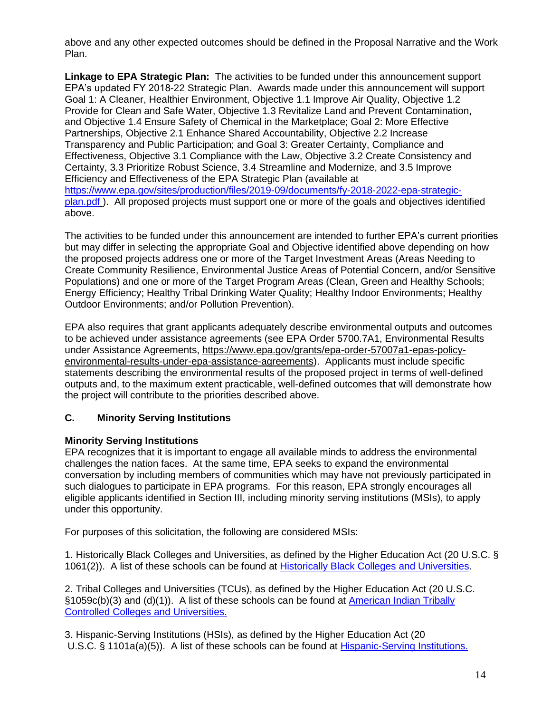above and any other expected outcomes should be defined in the Proposal Narrative and the Work Plan.

**Linkage to EPA Strategic Plan:** The activities to be funded under this announcement support EPA's updated FY 2018-22 Strategic Plan. Awards made under this announcement will support Goal 1: A Cleaner, Healthier Environment, Objective 1.1 Improve Air Quality, Objective 1.2 Provide for Clean and Safe Water, Objective 1.3 Revitalize Land and Prevent Contamination, and Objective 1.4 Ensure Safety of Chemical in the Marketplace; Goal 2: More Effective Partnerships, Objective 2.1 Enhance Shared Accountability, Objective 2.2 Increase Transparency and Public Participation; and Goal 3: Greater Certainty, Compliance and Effectiveness, Objective 3.1 Compliance with the Law, Objective 3.2 Create Consistency and Certainty, 3.3 Prioritize Robust Science, 3.4 Streamline and Modernize, and 3.5 Improve Efficiency and Effectiveness of the EPA Strategic Plan (available at [https://www.epa.gov/sites/production/files/2019-09/documents/fy-2018-2022-epa-strategic](https://www.epa.gov/sites/production/files/2019-09/documents/fy-2018-2022-epa-strategic-plan.pdf)[plan.pdf](https://www.epa.gov/sites/production/files/2019-09/documents/fy-2018-2022-epa-strategic-plan.pdf) ). All proposed projects must support one or more of the goals and objectives identified above.

The activities to be funded under this announcement are intended to further EPA's current priorities but may differ in selecting the appropriate Goal and Objective identified above depending on how the proposed projects address one or more of the Target Investment Areas (Areas Needing to Create Community Resilience, Environmental Justice Areas of Potential Concern, and/or Sensitive Populations) and one or more of the Target Program Areas (Clean, Green and Healthy Schools; Energy Efficiency; Healthy Tribal Drinking Water Quality; Healthy Indoor Environments; Healthy Outdoor Environments; and/or Pollution Prevention).

EPA also requires that grant applicants adequately describe environmental outputs and outcomes to be achieved under assistance agreements (see EPA Order 5700.7A1, Environmental Results under Assistance Agreements, [https://www.epa.gov/grants/epa-order-57007a1-epas-policy](https://www.epa.gov/grants/epa-order-57007a1-epas-policy-environmental-results-under-epa-assistance-agreements)[environmental-results-under-epa-assistance-agreements\)](https://www.epa.gov/grants/epa-order-57007a1-epas-policy-environmental-results-under-epa-assistance-agreements). Applicants must include specific statements describing the environmental results of the proposed project in terms of well-defined outputs and, to the maximum extent practicable, well-defined outcomes that will demonstrate how the project will contribute to the priorities described above.

#### **C. Minority Serving Institutions**

#### **Minority Serving Institutions**

EPA recognizes that it is important to engage all available minds to address the environmental challenges the nation faces. At the same time, EPA seeks to expand the environmental conversation by including members of communities which may have not previously participated in such dialogues to participate in EPA programs. For this reason, EPA strongly encourages all eligible applicants identified in Section III, including minority serving institutions (MSIs), to apply under this opportunity.

For purposes of this solicitation, the following are considered MSIs:

1. Historically Black Colleges and Universities, as defined by the Higher Education Act (20 U.S.C. § 1061(2)). A list of these schools can be found at [Historically Black Colleges and Universities.](https://sites.ed.gov/whhbcu/one-hundred-and-five-historically-black-colleges-and-universities/)

2. Tribal Colleges and Universities (TCUs), as defined by the Higher Education Act (20 U.S.C. §1059c(b)(3) and (d)(1)). A list of these schools can be found at [American Indian Tribally](https://sites.ed.gov/whiaiane/tribes-tcus/tribal-colleges-and-universities/)  [Controlled Colleges and Universities.](https://sites.ed.gov/whiaiane/tribes-tcus/tribal-colleges-and-universities/)

3. Hispanic-Serving Institutions (HSIs), as defined by the Higher Education Act (20 U.S.C. § 1101a(a)(5)). A list of these schools can be found at [Hispanic-Serving Institutions.](https://www2.ed.gov/about/offices/list/ope/idues/hsi-eligibles-2016.pdf)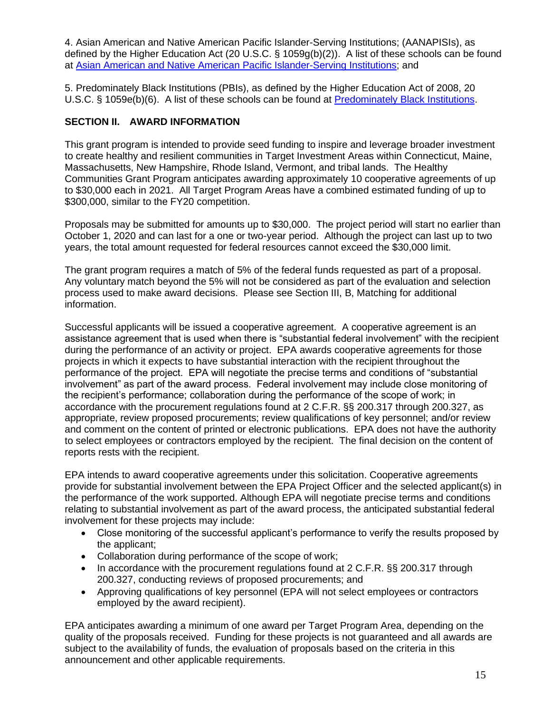4. Asian American and Native American Pacific Islander-Serving Institutions; (AANAPISIs), as defined by the Higher Education Act (20 U.S.C. § 1059g(b)(2)). A list of these schools can be found at [Asian American and Native American Pacific Islander-Serving Institutions;](https://www.google.com/maps/d/viewer?mid=1XVkOWKMDORm53pvU0L8EPsrJC94&msa=0&ie=UTF8&t=m&z=3&source=embed&ll=40.58644586187275%2C-148.28228249999984) and

5. Predominately Black Institutions (PBIs), as defined by the Higher Education Act of 2008, 20 U.S.C. § 1059e(b)(6). A list of these schools can be found at [Predominately Black Institutions.](https://www.google.com/maps/d/viewer?mid=1wlIi3j7gtlNq_w-0NKAb2bF2VmY&ie=UTF&msa=0&ll=37.35160769312534%2C-96.17229800000001&z=4)

#### **SECTION II. AWARD INFORMATION**

This grant program is intended to provide seed funding to inspire and leverage broader investment to create healthy and resilient communities in Target Investment Areas within Connecticut, Maine, Massachusetts, New Hampshire, Rhode Island, Vermont, and tribal lands. The Healthy Communities Grant Program anticipates awarding approximately 10 cooperative agreements of up to \$30,000 each in 2021. All Target Program Areas have a combined estimated funding of up to \$300,000, similar to the FY20 competition.

Proposals may be submitted for amounts up to \$30,000. The project period will start no earlier than October 1, 2020 and can last for a one or two-year period. Although the project can last up to two years, the total amount requested for federal resources cannot exceed the \$30,000 limit.

The grant program requires a match of 5% of the federal funds requested as part of a proposal. Any voluntary match beyond the 5% will not be considered as part of the evaluation and selection process used to make award decisions. Please see Section III, B, Matching for additional information.

Successful applicants will be issued a cooperative agreement. A cooperative agreement is an assistance agreement that is used when there is "substantial federal involvement" with the recipient during the performance of an activity or project. EPA awards cooperative agreements for those projects in which it expects to have substantial interaction with the recipient throughout the performance of the project. EPA will negotiate the precise terms and conditions of "substantial involvement" as part of the award process. Federal involvement may include close monitoring of the recipient's performance; collaboration during the performance of the scope of work; in accordance with the procurement regulations found at 2 C.F.R. §§ 200.317 through 200.327, as appropriate, review proposed procurements; review qualifications of key personnel; and/or review and comment on the content of printed or electronic publications. EPA does not have the authority to select employees or contractors employed by the recipient. The final decision on the content of reports rests with the recipient.

EPA intends to award cooperative agreements under this solicitation. Cooperative agreements provide for substantial involvement between the EPA Project Officer and the selected applicant(s) in the performance of the work supported. Although EPA will negotiate precise terms and conditions relating to substantial involvement as part of the award process, the anticipated substantial federal involvement for these projects may include:

- Close monitoring of the successful applicant's performance to verify the results proposed by the applicant;
- Collaboration during performance of the scope of work;
- In accordance with the procurement regulations found at 2 C.F.R. §§ 200.317 through 200.327, conducting reviews of proposed procurements; and
- Approving qualifications of key personnel (EPA will not select employees or contractors employed by the award recipient).

EPA anticipates awarding a minimum of one award per Target Program Area, depending on the quality of the proposals received. Funding for these projects is not guaranteed and all awards are subject to the availability of funds, the evaluation of proposals based on the criteria in this announcement and other applicable requirements.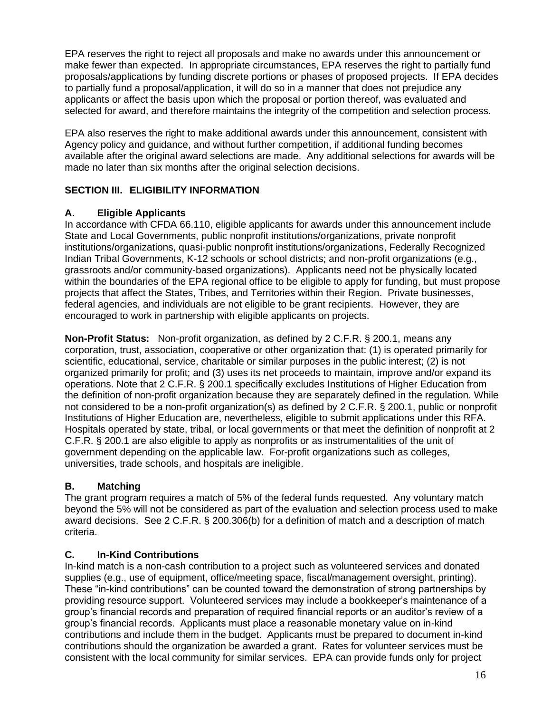EPA reserves the right to reject all proposals and make no awards under this announcement or make fewer than expected. In appropriate circumstances, EPA reserves the right to partially fund proposals/applications by funding discrete portions or phases of proposed projects. If EPA decides to partially fund a proposal/application, it will do so in a manner that does not prejudice any applicants or affect the basis upon which the proposal or portion thereof, was evaluated and selected for award, and therefore maintains the integrity of the competition and selection process.

EPA also reserves the right to make additional awards under this announcement, consistent with Agency policy and guidance, and without further competition, if additional funding becomes available after the original award selections are made. Any additional selections for awards will be made no later than six months after the original selection decisions.

### **SECTION III. ELIGIBILITY INFORMATION**

#### **A. Eligible Applicants**

In accordance with CFDA 66.110, eligible applicants for awards under this announcement include State and Local Governments, public nonprofit institutions/organizations, private nonprofit institutions/organizations, quasi-public nonprofit institutions/organizations, Federally Recognized Indian Tribal Governments, K-12 schools or school districts; and non-profit organizations (e.g., grassroots and/or community-based organizations). Applicants need not be physically located within the boundaries of the EPA regional office to be eligible to apply for funding, but must propose projects that affect the States, Tribes, and Territories within their Region. Private businesses, federal agencies, and individuals are not eligible to be grant recipients. However, they are encouraged to work in partnership with eligible applicants on projects.

**Non-Profit Status:** Non-profit organization, as defined by 2 C.F.R. § 200.1, means any corporation, trust, association, cooperative or other organization that: (1) is operated primarily for scientific, educational, service, charitable or similar purposes in the public interest; (2) is not organized primarily for profit; and (3) uses its net proceeds to maintain, improve and/or expand its operations. Note that 2 C.F.R. § 200.1 specifically excludes Institutions of Higher Education from the definition of non-profit organization because they are separately defined in the regulation. While not considered to be a non-profit organization(s) as defined by 2 C.F.R. § 200.1, public or nonprofit Institutions of Higher Education are, nevertheless, eligible to submit applications under this RFA. Hospitals operated by state, tribal, or local governments or that meet the definition of nonprofit at 2 C.F.R. § 200.1 are also eligible to apply as nonprofits or as instrumentalities of the unit of government depending on the applicable law. For-profit organizations such as colleges, universities, trade schools, and hospitals are ineligible.

### **B. Matching**

The grant program requires a match of 5% of the federal funds requested. Any voluntary match beyond the 5% will not be considered as part of the evaluation and selection process used to make award decisions. See 2 C.F.R. § 200.306(b) for a definition of match and a description of match criteria.

### **C. In-Kind Contributions**

In-kind match is a non-cash contribution to a project such as volunteered services and donated supplies (e.g., use of equipment, office/meeting space, fiscal/management oversight, printing). These "in-kind contributions" can be counted toward the demonstration of strong partnerships by providing resource support. Volunteered services may include a bookkeeper's maintenance of a group's financial records and preparation of required financial reports or an auditor's review of a group's financial records. Applicants must place a reasonable monetary value on in-kind contributions and include them in the budget. Applicants must be prepared to document in-kind contributions should the organization be awarded a grant. Rates for volunteer services must be consistent with the local community for similar services. EPA can provide funds only for project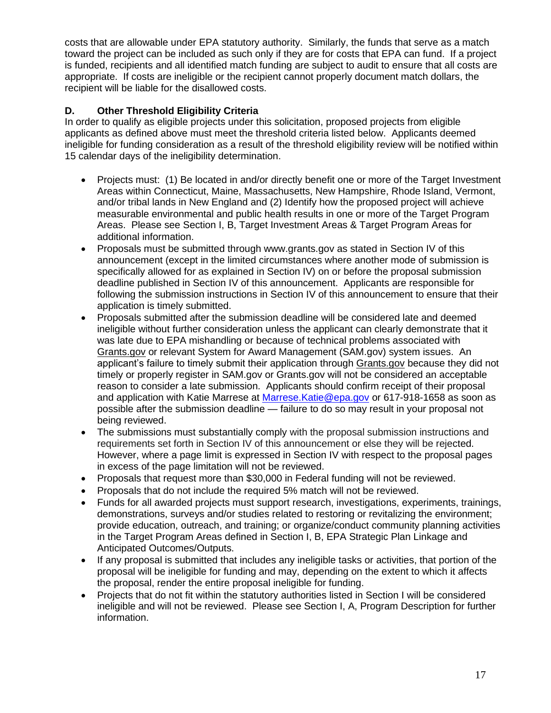costs that are allowable under EPA statutory authority. Similarly, the funds that serve as a match toward the project can be included as such only if they are for costs that EPA can fund. If a project is funded, recipients and all identified match funding are subject to audit to ensure that all costs are appropriate. If costs are ineligible or the recipient cannot properly document match dollars, the recipient will be liable for the disallowed costs.

#### **D. Other Threshold Eligibility Criteria**

In order to qualify as eligible projects under this solicitation, proposed projects from eligible applicants as defined above must meet the threshold criteria listed below. Applicants deemed ineligible for funding consideration as a result of the threshold eligibility review will be notified within 15 calendar days of the ineligibility determination.

- Projects must: (1) Be located in and/or directly benefit one or more of the Target Investment Areas within Connecticut, Maine, Massachusetts, New Hampshire, Rhode Island, Vermont, and/or tribal lands in New England and (2) Identify how the proposed project will achieve measurable environmental and public health results in one or more of the Target Program Areas. Please see Section I, B, Target Investment Areas & Target Program Areas for additional information.
- Proposals must be submitted through www.grants.gov as stated in Section IV of this announcement (except in the limited circumstances where another mode of submission is specifically allowed for as explained in Section IV) on or before the proposal submission deadline published in Section IV of this announcement. Applicants are responsible for following the submission instructions in Section IV of this announcement to ensure that their application is timely submitted.
- Proposals submitted after the submission deadline will be considered late and deemed ineligible without further consideration unless the applicant can clearly demonstrate that it was late due to EPA mishandling or because of technical problems associated with [Grants.gov](https://www.grants.gov/) or relevant System for Award Management (SAM.gov) system issues. An applicant's failure to timely submit their application through [Grants.gov](http://www2.epa.gov/grants/dispute-resolution-procedures) because they did not timely or properly register in SAM.gov or Grants.gov will not be considered an acceptable reason to consider a late submission. Applicants should confirm receipt of their proposal and application with Katie Marrese at Marrese. Katie@epa.gov or 617-918-1658 as soon as possible after the submission deadline — failure to do so may result in your proposal not being reviewed.
- The submissions must substantially comply with the proposal submission instructions and requirements set forth in Section IV of this announcement or else they will be rejected. However, where a page limit is expressed in Section IV with respect to the proposal pages in excess of the page limitation will not be reviewed.
- Proposals that request more than \$30,000 in Federal funding will not be reviewed.
- Proposals that do not include the required 5% match will not be reviewed.
- Funds for all awarded projects must support research, investigations, experiments, trainings, demonstrations, surveys and/or studies related to restoring or revitalizing the environment; provide education, outreach, and training; or organize/conduct community planning activities in the Target Program Areas defined in Section I, B, EPA Strategic Plan Linkage and Anticipated Outcomes/Outputs.
- If any proposal is submitted that includes any ineligible tasks or activities, that portion of the proposal will be ineligible for funding and may, depending on the extent to which it affects the proposal, render the entire proposal ineligible for funding.
- Projects that do not fit within the statutory authorities listed in Section I will be considered ineligible and will not be reviewed. Please see Section I, A, Program Description for further information.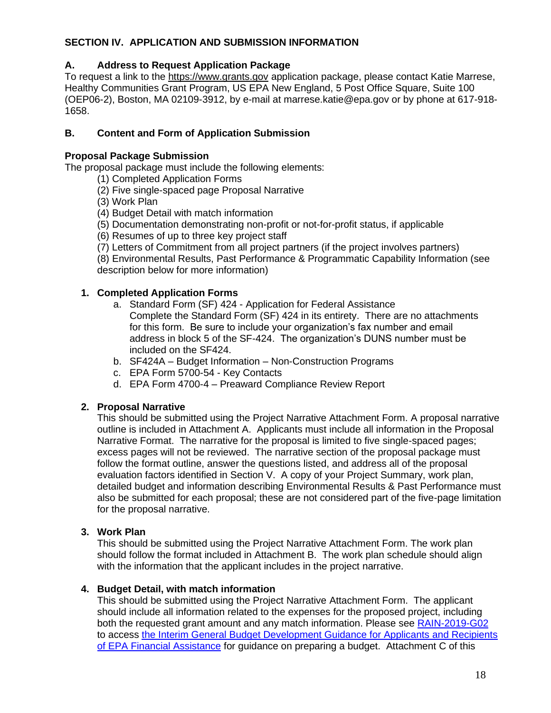#### **SECTION IV. APPLICATION AND SUBMISSION INFORMATION**

#### **A. Address to Request Application Package**

To request a link to the [https://www.grants.gov](https://www.grants.gov/) application package, please contact Katie Marrese, Healthy Communities Grant Program, US EPA New England, 5 Post Office Square, Suite 100 (OEP06-2), Boston, MA 02109-3912, by e-mail at marrese.katie@epa.gov or by phone at 617-918- 1658.

#### **B. Content and Form of Application Submission**

#### **Proposal Package Submission**

The proposal package must include the following elements:

- (1) Completed Application Forms
- (2) Five single-spaced page Proposal Narrative
- (3) Work Plan
- (4) Budget Detail with match information
- (5) Documentation demonstrating non-profit or not-for-profit status, if applicable
- (6) Resumes of up to three key project staff
- (7) Letters of Commitment from all project partners (if the project involves partners)

(8) Environmental Results, Past Performance & Programmatic Capability Information (see description below for more information)

#### **1. Completed Application Forms**

- a. Standard Form (SF) 424 Application for Federal Assistance Complete the Standard Form (SF) 424 in its entirety. There are no attachments for this form. Be sure to include your organization's fax number and email address in block 5 of the SF-424. The organization's DUNS number must be included on the SF424.
- b. SF424A Budget Information Non-Construction Programs
- c. EPA Form 5700-54 Key Contacts
- d. EPA Form 4700-4 Preaward Compliance Review Report

### **2. Proposal Narrative**

This should be submitted using the Project Narrative Attachment Form. A proposal narrative outline is included in Attachment A. Applicants must include all information in the Proposal Narrative Format. The narrative for the proposal is limited to five single-spaced pages; excess pages will not be reviewed. The narrative section of the proposal package must follow the format outline, answer the questions listed, and address all of the proposal evaluation factors identified in Section V. A copy of your Project Summary, work plan, detailed budget and information describing Environmental Results & Past Performance must also be submitted for each proposal; these are not considered part of the five-page limitation for the proposal narrative.

### **3. Work Plan**

This should be submitted using the Project Narrative Attachment Form. The work plan should follow the format included in Attachment B. The work plan schedule should align with the information that the applicant includes in the project narrative.

#### **4. Budget Detail, with match information**

This should be submitted using the Project Narrative Attachment Form. The applicant should include all information related to the expenses for the proposed project, including both the requested grant amount and any match information. Please see [RAIN-2019-G02](https://www.epa.gov/sites/production/files/2019-05/documents/applicant-budget-development-guidance.pdf)  to access [the Interim General Budget Development Guidance for Applicants and Recipients](https://www.epa.gov/grants/rain-2019-g02)  [of EPA Financial Assistance](https://www.epa.gov/grants/rain-2019-g02) for guidance on preparing a budget. Attachment C of this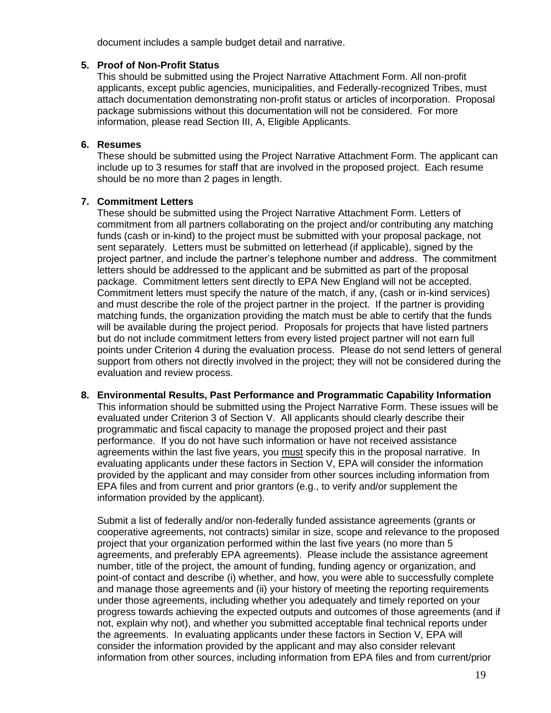document includes a sample budget detail and narrative.

#### **5. Proof of Non-Profit Status**

This should be submitted using the Project Narrative Attachment Form. All non-profit applicants, except public agencies, municipalities, and Federally-recognized Tribes, must attach documentation demonstrating non-profit status or articles of incorporation. Proposal package submissions without this documentation will not be considered. For more information, please read Section III, A, Eligible Applicants.

#### **6. Resumes**

These should be submitted using the Project Narrative Attachment Form. The applicant can include up to 3 resumes for staff that are involved in the proposed project. Each resume should be no more than 2 pages in length.

#### **7. Commitment Letters**

information provided by the applicant).

These should be submitted using the Project Narrative Attachment Form. Letters of commitment from all partners collaborating on the project and/or contributing any matching funds (cash or in-kind) to the project must be submitted with your proposal package, not sent separately. Letters must be submitted on letterhead (if applicable), signed by the project partner, and include the partner's telephone number and address. The commitment letters should be addressed to the applicant and be submitted as part of the proposal package. Commitment letters sent directly to EPA New England will not be accepted. Commitment letters must specify the nature of the match, if any, (cash or in-kind services) and must describe the role of the project partner in the project. If the partner is providing matching funds, the organization providing the match must be able to certify that the funds will be available during the project period. Proposals for projects that have listed partners but do not include commitment letters from every listed project partner will not earn full points under Criterion 4 during the evaluation process. Please do not send letters of general support from others not directly involved in the project; they will not be considered during the evaluation and review process.

#### **8. Environmental Results, Past Performance and Programmatic Capability Information** This information should be submitted using the Project Narrative Form. These issues will be evaluated under Criterion 3 of Section V. All applicants should clearly describe their programmatic and fiscal capacity to manage the proposed project and their past performance. If you do not have such information or have not received assistance agreements within the last five years, you must specify this in the proposal narrative. In evaluating applicants under these factors in Section V, EPA will consider the information provided by the applicant and may consider from other sources including information from EPA files and from current and prior grantors (e.g., to verify and/or supplement the

Submit a list of federally and/or non-federally funded assistance agreements (grants or cooperative agreements, not contracts) similar in size, scope and relevance to the proposed project that your organization performed within the last five years (no more than 5 agreements, and preferably EPA agreements). Please include the assistance agreement number, title of the project, the amount of funding, funding agency or organization, and point-of contact and describe (i) whether, and how, you were able to successfully complete and manage those agreements and (ii) your history of meeting the reporting requirements under those agreements, including whether you adequately and timely reported on your progress towards achieving the expected outputs and outcomes of those agreements (and if not, explain why not), and whether you submitted acceptable final technical reports under the agreements. In evaluating applicants under these factors in Section V, EPA will consider the information provided by the applicant and may also consider relevant information from other sources, including information from EPA files and from current/prior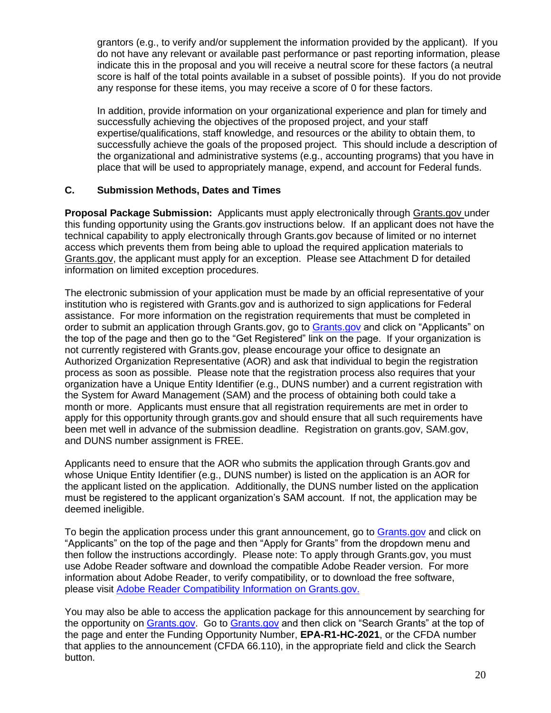grantors (e.g., to verify and/or supplement the information provided by the applicant). If you do not have any relevant or available past performance or past reporting information, please indicate this in the proposal and you will receive a neutral score for these factors (a neutral score is half of the total points available in a subset of possible points). If you do not provide any response for these items, you may receive a score of 0 for these factors.

In addition, provide information on your organizational experience and plan for timely and successfully achieving the objectives of the proposed project, and your staff expertise/qualifications, staff knowledge, and resources or the ability to obtain them, to successfully achieve the goals of the proposed project. This should include a description of the organizational and administrative systems (e.g., accounting programs) that you have in place that will be used to appropriately manage, expend, and account for Federal funds.

#### **C. Submission Methods, Dates and Times**

**Proposal Package Submission:** Applicants must apply electronically through [Grants.gov](http://grants.gov/) under this funding opportunity using the Grants.gov instructions below. If an applicant does not have the technical capability to apply electronically through Grants.gov because of limited or no internet access which prevents them from being able to upload the required application materials to [Grants.gov,](mailto:brownell.sandra@epa.gov) the applicant must apply for an exception. Please see Attachment D for detailed information on limited exception procedures.

The electronic submission of your application must be made by an official representative of your institution who is registered with Grants.gov and is authorized to sign applications for Federal assistance. For more information on the registration requirements that must be completed in order to submit an application through [Grants.gov](https://www.grants.gov/), go to Grants.gov and click on "Applicants" on the top of the page and then go to the "Get Registered" link on the page. If your organization is not currently registered with Grants.gov, please encourage your office to designate an Authorized Organization Representative (AOR) and ask that individual to begin the registration process as soon as possible. Please note that the registration process also requires that your organization have a Unique Entity Identifier (e.g., DUNS number) and a current registration with the System for Award Management (SAM) and the process of obtaining both could take a month or more. Applicants must ensure that all registration requirements are met in order to apply for this opportunity through grants.gov and should ensure that all such requirements have been met well in advance of the submission deadline. Registration on grants.gov, SAM.gov, and DUNS number assignment is FREE.

Applicants need to ensure that the AOR who submits the application through Grants.gov and whose Unique Entity Identifier (e.g., DUNS number) is listed on the application is an AOR for the applicant listed on the application. Additionally, the DUNS number listed on the application must be registered to the applicant organization's SAM account. If not, the application may be deemed ineligible.

To begin the application process under this grant announcement, go to [Grants.gov](https://www.grants.gov/) and click on "Applicants" on the top of the page and then "Apply for Grants" from the dropdown menu and then follow the instructions accordingly. Please note: To apply through Grants.gov, you must use Adobe Reader software and download the compatible Adobe Reader version. For more information about Adobe Reader, to verify compatibility, or to download the free software, please visit [Adobe Reader Compatibility Information on Grants.gov.](https://www.grants.gov/web/grants/applicants/adobe-software-compatibility.html)

You may also be able to access the application package for this announcement by searching for the opportunity on [Grants.gov.](https://www.grants.gov/) Go to [Grants.gov](https://www.grants.gov/) and then click on "Search Grants" at the top of the page and enter the Funding Opportunity Number, **EPA-R1-HC-2021**, or the CFDA number that applies to the announcement (CFDA 66.110), in the appropriate field and click the Search button.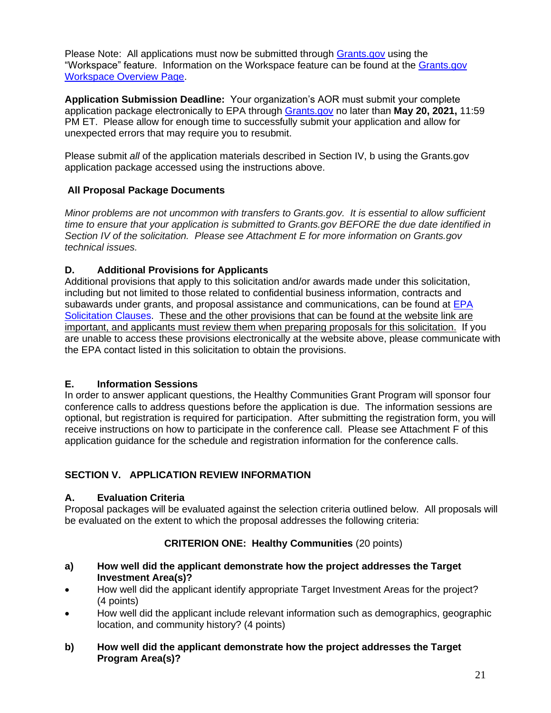Please Note: All applications must now be submitted through [Grants.gov](https://www.grants.gov/) using the "Workspace" feature. Information on the Workspace feature can be found at the [Grants.gov](https://www.grants.gov/web/grants/applicants/workspace-overview.html)  [Workspace Overview Page.](https://www.grants.gov/web/grants/applicants/workspace-overview.html)

**Application Submission Deadline:** Your organization's AOR must submit your complete application package electronically to EPA through [Grants.gov](https://www.grants.gov/) no later than **May 20, 2021,** 11:59 PM ET. Please allow for enough time to successfully submit your application and allow for unexpected errors that may require you to resubmit.

Please submit *all* of the application materials described in Section IV, b using the Grants.gov application package accessed using the instructions above.

#### **All Proposal Package Documents**

*Minor problems are not uncommon with transfers to Grants.gov. It is essential to allow sufficient time to ensure that your application is submitted to Grants.gov BEFORE the due date identified in Section IV of the solicitation. Please see Attachment E for more information on Grants.gov technical issues.* 

#### **D. Additional Provisions for Applicants**

Additional provisions that apply to this solicitation and/or awards made under this solicitation, including but not limited to those related to confidential business information, contracts and subawards under grants, and proposal assistance and communications, can be found at EPA [Solicitation Clauses.](https://www.epa.gov/grants/epa-solicitation-clauses) These and the other provisions that can be found at the website link are important, and applicants must review them when preparing proposals for this solicitation. If you are unable to access these provisions electronically at the website above, please communicate with the EPA contact listed in this solicitation to obtain the provisions.

#### **E. Information Sessions**

In order to answer applicant questions, the Healthy Communities Grant Program will sponsor four conference calls to address questions before the application is due. The information sessions are optional, but registration is required for participation. After submitting the registration form, you will receive instructions on how to participate in the conference call. Please see Attachment F of this application guidance for the schedule and registration information for the conference calls.

### **SECTION V. APPLICATION REVIEW INFORMATION**

#### **A. Evaluation Criteria**

Proposal packages will be evaluated against the selection criteria outlined below. All proposals will be evaluated on the extent to which the proposal addresses the following criteria:

### **CRITERION ONE: Healthy Communities** (20 points)

- **a) How well did the applicant demonstrate how the project addresses the Target Investment Area(s)?**
- How well did the applicant identify appropriate Target Investment Areas for the project? (4 points)
- How well did the applicant include relevant information such as demographics, geographic location, and community history? (4 points)
- **b) How well did the applicant demonstrate how the project addresses the Target Program Area(s)?**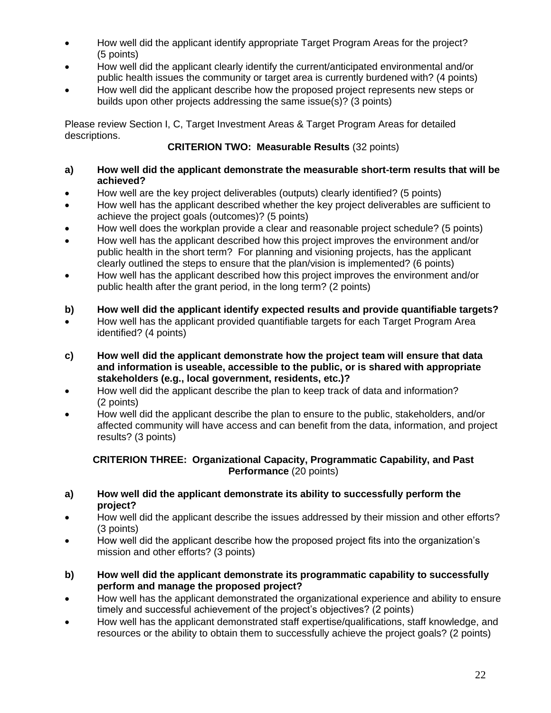- How well did the applicant identify appropriate Target Program Areas for the project? (5 points)
- How well did the applicant clearly identify the current/anticipated environmental and/or public health issues the community or target area is currently burdened with? (4 points)
- How well did the applicant describe how the proposed project represents new steps or builds upon other projects addressing the same issue(s)? (3 points)

Please review Section I, C, Target Investment Areas & Target Program Areas for detailed descriptions.

#### **CRITERION TWO: Measurable Results** (32 points)

#### **a) How well did the applicant demonstrate the measurable short-term results that will be achieved?**

- How well are the key project deliverables (outputs) clearly identified? (5 points)
- How well has the applicant described whether the key project deliverables are sufficient to achieve the project goals (outcomes)? (5 points)
- How well does the workplan provide a clear and reasonable project schedule? (5 points)
- How well has the applicant described how this project improves the environment and/or public health in the short term? For planning and visioning projects, has the applicant clearly outlined the steps to ensure that the plan/vision is implemented? (6 points)
- How well has the applicant described how this project improves the environment and/or public health after the grant period, in the long term? (2 points)
- **b) How well did the applicant identify expected results and provide quantifiable targets?**
- How well has the applicant provided quantifiable targets for each Target Program Area identified? (4 points)
- **c) How well did the applicant demonstrate how the project team will ensure that data and information is useable, accessible to the public, or is shared with appropriate stakeholders (e.g., local government, residents, etc.)?**
- How well did the applicant describe the plan to keep track of data and information? (2 points)
- How well did the applicant describe the plan to ensure to the public, stakeholders, and/or affected community will have access and can benefit from the data, information, and project results? (3 points)

#### **CRITERION THREE: Organizational Capacity, Programmatic Capability, and Past Performance** (20 points)

- **a) How well did the applicant demonstrate its ability to successfully perform the project?**
- How well did the applicant describe the issues addressed by their mission and other efforts? (3 points)
- How well did the applicant describe how the proposed project fits into the organization's mission and other efforts? (3 points)
- **b) How well did the applicant demonstrate its programmatic capability to successfully perform and manage the proposed project?**
- How well has the applicant demonstrated the organizational experience and ability to ensure timely and successful achievement of the project's objectives? (2 points)
- How well has the applicant demonstrated staff expertise/qualifications, staff knowledge, and resources or the ability to obtain them to successfully achieve the project goals? (2 points)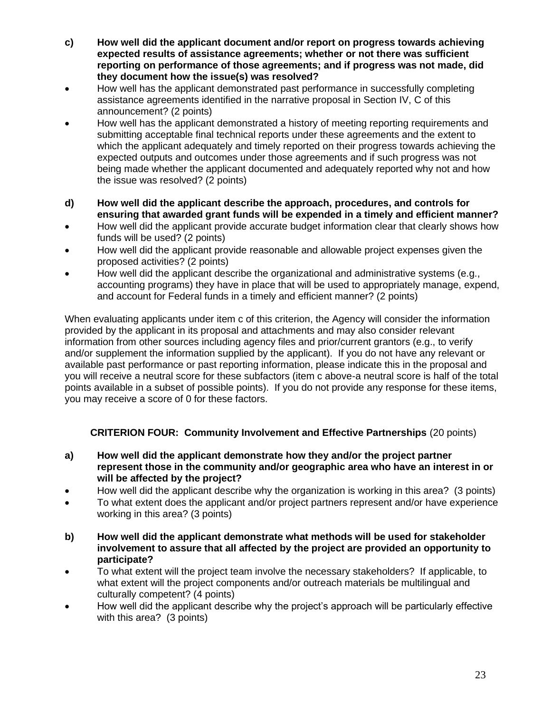- **c) How well did the applicant document and/or report on progress towards achieving expected results of assistance agreements; whether or not there was sufficient reporting on performance of those agreements; and if progress was not made, did they document how the issue(s) was resolved?**
- How well has the applicant demonstrated past performance in successfully completing assistance agreements identified in the narrative proposal in Section IV, C of this announcement? (2 points)
- How well has the applicant demonstrated a history of meeting reporting requirements and submitting acceptable final technical reports under these agreements and the extent to which the applicant adequately and timely reported on their progress towards achieving the expected outputs and outcomes under those agreements and if such progress was not being made whether the applicant documented and adequately reported why not and how the issue was resolved? (2 points)
- **d) How well did the applicant describe the approach, procedures, and controls for ensuring that awarded grant funds will be expended in a timely and efficient manner?**
- How well did the applicant provide accurate budget information clear that clearly shows how funds will be used? (2 points)
- How well did the applicant provide reasonable and allowable project expenses given the proposed activities? (2 points)
- How well did the applicant describe the organizational and administrative systems (e.g., accounting programs) they have in place that will be used to appropriately manage, expend, and account for Federal funds in a timely and efficient manner? (2 points)

When evaluating applicants under item c of this criterion, the Agency will consider the information provided by the applicant in its proposal and attachments and may also consider relevant information from other sources including agency files and prior/current grantors (e.g., to verify and/or supplement the information supplied by the applicant). If you do not have any relevant or available past performance or past reporting information, please indicate this in the proposal and you will receive a neutral score for these subfactors (item c above-a neutral score is half of the total points available in a subset of possible points). If you do not provide any response for these items, you may receive a score of 0 for these factors.

### **CRITERION FOUR: Community Involvement and Effective Partnerships** (20 points)

- **a) How well did the applicant demonstrate how they and/or the project partner represent those in the community and/or geographic area who have an interest in or will be affected by the project?**
- How well did the applicant describe why the organization is working in this area? (3 points)
- To what extent does the applicant and/or project partners represent and/or have experience working in this area? (3 points)
- **b) How well did the applicant demonstrate what methods will be used for stakeholder involvement to assure that all affected by the project are provided an opportunity to participate?**
- To what extent will the project team involve the necessary stakeholders? If applicable, to what extent will the project components and/or outreach materials be multilingual and culturally competent? (4 points)
- How well did the applicant describe why the project's approach will be particularly effective with this area? (3 points)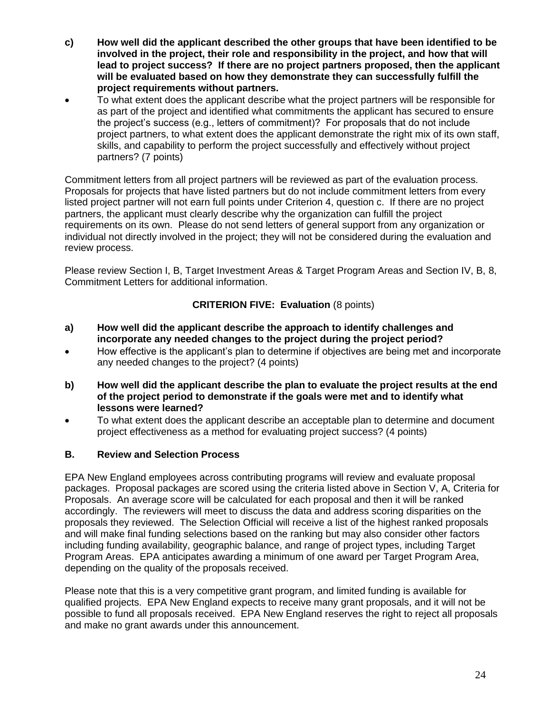- **c) How well did the applicant described the other groups that have been identified to be involved in the project, their role and responsibility in the project, and how that will lead to project success? If there are no project partners proposed, then the applicant will be evaluated based on how they demonstrate they can successfully fulfill the project requirements without partners.**
- To what extent does the applicant describe what the project partners will be responsible for as part of the project and identified what commitments the applicant has secured to ensure the project's success (e.g., letters of commitment)? For proposals that do not include project partners, to what extent does the applicant demonstrate the right mix of its own staff, skills, and capability to perform the project successfully and effectively without project partners? (7 points)

Commitment letters from all project partners will be reviewed as part of the evaluation process. Proposals for projects that have listed partners but do not include commitment letters from every listed project partner will not earn full points under Criterion 4, question c. If there are no project partners, the applicant must clearly describe why the organization can fulfill the project requirements on its own. Please do not send letters of general support from any organization or individual not directly involved in the project; they will not be considered during the evaluation and review process.

Please review Section I, B, Target Investment Areas & Target Program Areas and Section IV, B, 8, Commitment Letters for additional information.

#### **CRITERION FIVE: Evaluation** (8 points)

- **a) How well did the applicant describe the approach to identify challenges and incorporate any needed changes to the project during the project period?**
- How effective is the applicant's plan to determine if objectives are being met and incorporate any needed changes to the project? (4 points)
- **b) How well did the applicant describe the plan to evaluate the project results at the end of the project period to demonstrate if the goals were met and to identify what lessons were learned?**
- To what extent does the applicant describe an acceptable plan to determine and document project effectiveness as a method for evaluating project success? (4 points)

#### **B. Review and Selection Process**

EPA New England employees across contributing programs will review and evaluate proposal packages. Proposal packages are scored using the criteria listed above in Section V, A, Criteria for Proposals. An average score will be calculated for each proposal and then it will be ranked accordingly. The reviewers will meet to discuss the data and address scoring disparities on the proposals they reviewed. The Selection Official will receive a list of the highest ranked proposals and will make final funding selections based on the ranking but may also consider other factors including funding availability, geographic balance, and range of project types, including Target Program Areas. EPA anticipates awarding a minimum of one award per Target Program Area, depending on the quality of the proposals received.

Please note that this is a very competitive grant program, and limited funding is available for qualified projects. EPA New England expects to receive many grant proposals, and it will not be possible to fund all proposals received. EPA New England reserves the right to reject all proposals and make no grant awards under this announcement.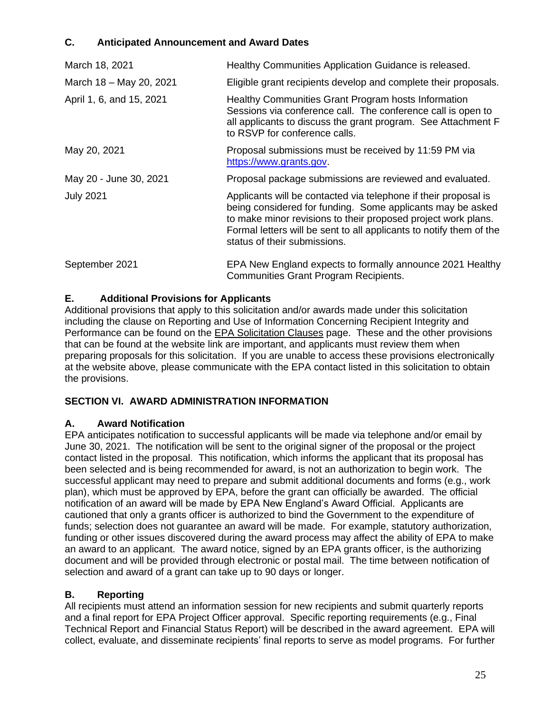### **C. Anticipated Announcement and Award Dates**

| March 18, 2021           | Healthy Communities Application Guidance is released.                                                                                                                                                                                                                                                 |
|--------------------------|-------------------------------------------------------------------------------------------------------------------------------------------------------------------------------------------------------------------------------------------------------------------------------------------------------|
| March 18 - May 20, 2021  | Eligible grant recipients develop and complete their proposals.                                                                                                                                                                                                                                       |
| April 1, 6, and 15, 2021 | Healthy Communities Grant Program hosts Information<br>Sessions via conference call. The conference call is open to<br>all applicants to discuss the grant program. See Attachment F<br>to RSVP for conference calls.                                                                                 |
| May 20, 2021             | Proposal submissions must be received by 11:59 PM via<br>https://www.grants.gov.                                                                                                                                                                                                                      |
| May 20 - June 30, 2021   | Proposal package submissions are reviewed and evaluated.                                                                                                                                                                                                                                              |
| <b>July 2021</b>         | Applicants will be contacted via telephone if their proposal is<br>being considered for funding. Some applicants may be asked<br>to make minor revisions to their proposed project work plans.<br>Formal letters will be sent to all applicants to notify them of the<br>status of their submissions. |
| September 2021           | EPA New England expects to formally announce 2021 Healthy<br><b>Communities Grant Program Recipients.</b>                                                                                                                                                                                             |

#### **E. Additional Provisions for Applicants**

Additional provisions that apply to this solicitation and/or awards made under this solicitation including the clause on Reporting and Use of Information Concerning Recipient Integrity and Performance can be found on the [EPA Solicitation Clauses](https://www.epa.gov/grants/epa-solicitation-clauses) page. These and the other provisions that can be found at the website link are important, and applicants must review them when preparing proposals for this solicitation. If you are unable to access these provisions electronically at the website above, please communicate with the EPA contact listed in this solicitation to obtain the provisions.

#### **SECTION VI. AWARD ADMINISTRATION INFORMATION**

#### **A. Award Notification**

EPA anticipates notification to successful applicants will be made via telephone and/or email by June 30, 2021. The notification will be sent to the original signer of the proposal or the project contact listed in the proposal. This notification, which informs the applicant that its proposal has been selected and is being recommended for award, is not an authorization to begin work. The successful applicant may need to prepare and submit additional documents and forms (e.g., work plan), which must be approved by EPA, before the grant can officially be awarded. The official notification of an award will be made by EPA New England's Award Official. Applicants are cautioned that only a grants officer is authorized to bind the Government to the expenditure of funds; selection does not guarantee an award will be made. For example, statutory authorization, funding or other issues discovered during the award process may affect the ability of EPA to make an award to an applicant. The award notice, signed by an EPA grants officer, is the authorizing document and will be provided through electronic or postal mail. The time between notification of selection and award of a grant can take up to 90 days or longer.

#### **B. Reporting**

All recipients must attend an information session for new recipients and submit quarterly reports and a final report for EPA Project Officer approval. Specific reporting requirements (e.g., Final Technical Report and Financial Status Report) will be described in the award agreement. EPA will collect, evaluate, and disseminate recipients' final reports to serve as model programs. For further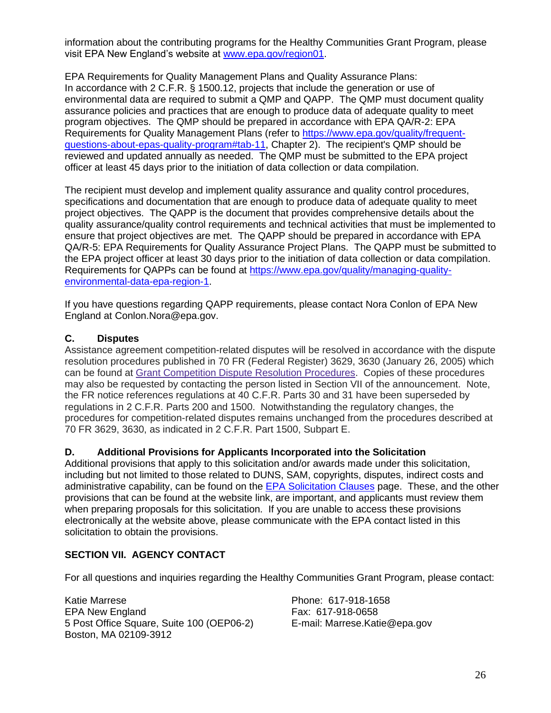information about the contributing programs for the Healthy Communities Grant Program, please visit EPA New England's website at [www.epa.gov/region01.](https://www.epa.gov/region01)

EPA Requirements for Quality Management Plans and Quality Assurance Plans: In accordance with 2 C.F.R. § 1500.12, projects that include the generation or use of environmental data are required to submit a QMP and QAPP. The QMP must document quality assurance policies and practices that are enough to produce data of adequate quality to meet program objectives. The QMP should be prepared in accordance with EPA QA/R-2: EPA Requirements for Quality Management Plans (refer to [https://www.epa.gov/quality/frequent](https://www.epa.gov/quality/frequent-questions-about-epas-quality-program#tab-11)[questions-about-epas-quality-program#tab-11,](https://www.epa.gov/quality/frequent-questions-about-epas-quality-program#tab-11) Chapter 2). The recipient's QMP should be reviewed and updated annually as needed. The QMP must be submitted to the EPA project officer at least 45 days prior to the initiation of data collection or data compilation.

The recipient must develop and implement quality assurance and quality control procedures, specifications and documentation that are enough to produce data of adequate quality to meet project objectives. The QAPP is the document that provides comprehensive details about the quality assurance/quality control requirements and technical activities that must be implemented to ensure that project objectives are met. The QAPP should be prepared in accordance with EPA QA/R-5: EPA Requirements for Quality Assurance Project Plans. The QAPP must be submitted to the EPA project officer at least 30 days prior to the initiation of data collection or data compilation. Requirements for QAPPs can be found at [https://www.epa.gov/quality/managing-quality](https://www.epa.gov/quality/managing-quality-environmental-data-epa-region-1)[environmental-data-epa-region-1.](https://www.epa.gov/quality/managing-quality-environmental-data-epa-region-1)

If you have questions regarding QAPP requirements, please contact Nora Conlon of EPA New England at Conlon.Nora@epa.gov.

#### **C. Disputes**

Assistance agreement competition-related disputes will be resolved in accordance with the dispute resolution procedures published in 70 FR (Federal Register) 3629, 3630 (January 26, 2005) which can be found at [Grant Competition Dispute Resolution Procedures.](https://www.epa.gov/grants/grant-competition-dispute-resolution-procedures) Copies of these procedures may also be requested by contacting the person listed in Section VII of the announcement. Note, the FR notice references regulations at 40 C.F.R. Parts 30 and 31 have been superseded by regulations in 2 C.F.R. Parts 200 and 1500. Notwithstanding the regulatory changes, the procedures for competition-related disputes remains unchanged from the procedures described at 70 FR 3629, 3630, as indicated in 2 C.F.R. Part 1500, Subpart E.

#### **D. Additional Provisions for Applicants Incorporated into the Solicitation**

Additional provisions that apply to this solicitation and/or awards made under this solicitation, including but not limited to those related to DUNS, SAM, copyrights, disputes, indirect costs and administrative capability, can be found on the [EPA Solicitation Clauses](http://www.epa.gov/grants/epa-solicitation-clauses) page. These, and the other provisions that can be found at the website link, are important, and applicants must review them when preparing proposals for this solicitation. If you are unable to access these provisions electronically at the website above, please communicate with the EPA contact listed in this solicitation to obtain the provisions.

#### **SECTION VII. AGENCY CONTACT**

For all questions and inquiries regarding the Healthy Communities Grant Program, please contact:

Katie Marrese **Phone: 617-918-1658** EPA New England **Fax: 617-918-0658** 5 Post Office Square, Suite 100 (OEP06-2) E-mail: Marrese.Katie@epa.gov Boston, MA 02109-3912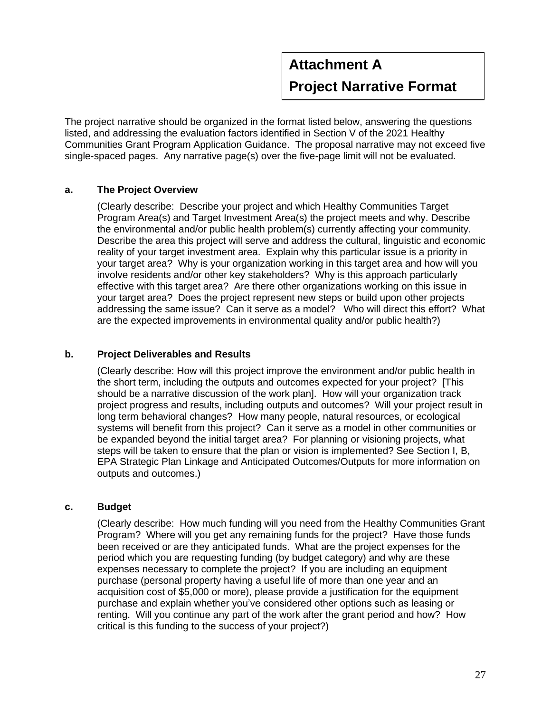# **Attachment A Project Narrative Format**

The project narrative should be organized in the format listed below, answering the questions listed, and addressing the evaluation factors identified in Section V of the 2021 Healthy Communities Grant Program Application Guidance. The proposal narrative may not exceed five single-spaced pages. Any narrative page(s) over the five-page limit will not be evaluated.

#### **a. The Project Overview**

(Clearly describe: Describe your project and which Healthy Communities Target Program Area(s) and Target Investment Area(s) the project meets and why. Describe the environmental and/or public health problem(s) currently affecting your community. Describe the area this project will serve and address the cultural, linguistic and economic reality of your target investment area. Explain why this particular issue is a priority in your target area? Why is your organization working in this target area and how will you involve residents and/or other key stakeholders? Why is this approach particularly effective with this target area? Are there other organizations working on this issue in your target area? Does the project represent new steps or build upon other projects addressing the same issue? Can it serve as a model? Who will direct this effort? What are the expected improvements in environmental quality and/or public health?)

#### **b. Project Deliverables and Results**

(Clearly describe: How will this project improve the environment and/or public health in the short term, including the outputs and outcomes expected for your project? [This should be a narrative discussion of the work plan]. How will your organization track project progress and results, including outputs and outcomes? Will your project result in long term behavioral changes? How many people, natural resources, or ecological systems will benefit from this project? Can it serve as a model in other communities or be expanded beyond the initial target area? For planning or visioning projects, what steps will be taken to ensure that the plan or vision is implemented? See Section I, B, EPA Strategic Plan Linkage and Anticipated Outcomes/Outputs for more information on outputs and outcomes.)

#### **c. Budget**

 (Clearly describe: How much funding will you need from the Healthy Communities Grant Program? Where will you get any remaining funds for the project? Have those funds been received or are they anticipated funds. What are the project expenses for the period which you are requesting funding (by budget category) and why are these expenses necessary to complete the project? If you are including an equipment purchase (personal property having a useful life of more than one year and an acquisition cost of \$5,000 or more), please provide a justification for the equipment purchase and explain whether you've considered other options such as leasing or renting. Will you continue any part of the work after the grant period and how? How critical is this funding to the success of your project?)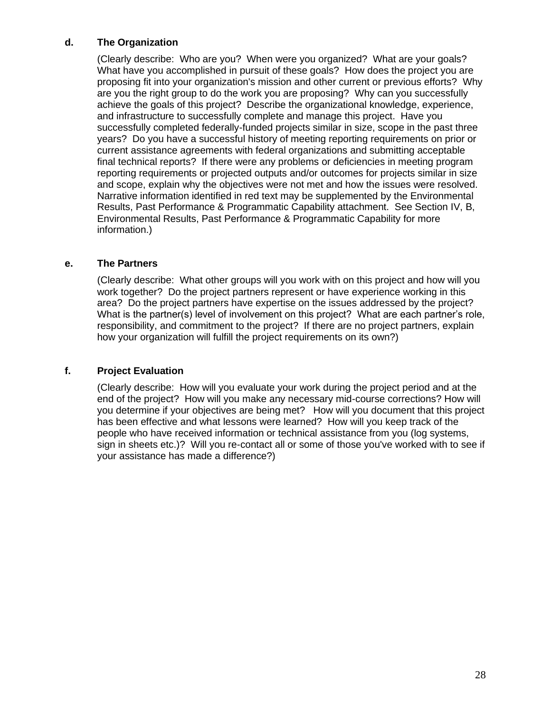#### **d. The Organization**

(Clearly describe: Who are you? When were you organized? What are your goals? What have you accomplished in pursuit of these goals? How does the project you are proposing fit into your organization's mission and other current or previous efforts? Why are you the right group to do the work you are proposing? Why can you successfully achieve the goals of this project? Describe the organizational knowledge, experience, and infrastructure to successfully complete and manage this project. Have you successfully completed federally-funded projects similar in size, scope in the past three years? Do you have a successful history of meeting reporting requirements on prior or current assistance agreements with federal organizations and submitting acceptable final technical reports? If there were any problems or deficiencies in meeting program reporting requirements or projected outputs and/or outcomes for projects similar in size and scope, explain why the objectives were not met and how the issues were resolved. Narrative information identified in red text may be supplemented by the Environmental Results, Past Performance & Programmatic Capability attachment. See Section IV, B, Environmental Results, Past Performance & Programmatic Capability for more information.)

#### **e. The Partners**

(Clearly describe: What other groups will you work with on this project and how will you work together? Do the project partners represent or have experience working in this area? Do the project partners have expertise on the issues addressed by the project? What is the partner(s) level of involvement on this project? What are each partner's role, responsibility, and commitment to the project? If there are no project partners, explain how your organization will fulfill the project requirements on its own?)

#### **f. Project Evaluation**

(Clearly describe: How will you evaluate your work during the project period and at the end of the project? How will you make any necessary mid-course corrections? How will you determine if your objectives are being met? How will you document that this project has been effective and what lessons were learned? How will you keep track of the people who have received information or technical assistance from you (log systems, sign in sheets etc.)? Will you re-contact all or some of those you've worked with to see if your assistance has made a difference?)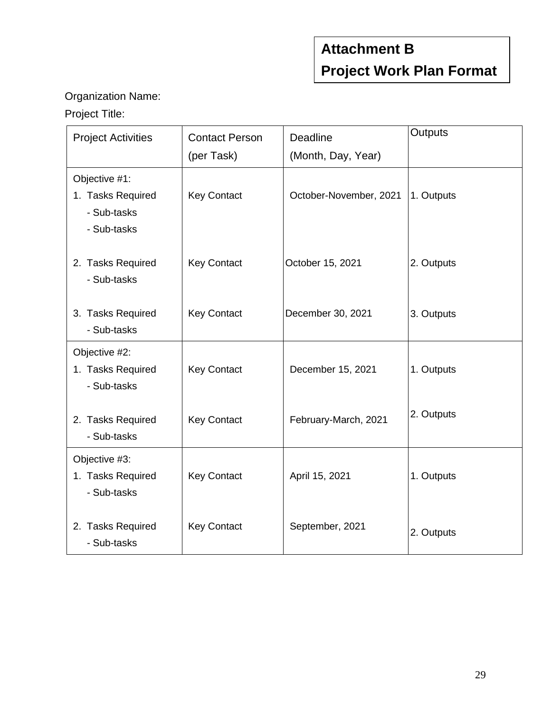# **Attachment B Project Work Plan Format**

### Organization Name:

## Project Title:

| <b>Project Activities</b>                                        | <b>Contact Person</b> | <b>Deadline</b>        | Outputs    |
|------------------------------------------------------------------|-----------------------|------------------------|------------|
|                                                                  | (per Task)            | (Month, Day, Year)     |            |
| Objective #1:<br>1. Tasks Required<br>- Sub-tasks<br>- Sub-tasks | <b>Key Contact</b>    | October-November, 2021 | 1. Outputs |
| 2. Tasks Required<br>- Sub-tasks                                 | <b>Key Contact</b>    | October 15, 2021       | 2. Outputs |
| 3. Tasks Required<br>- Sub-tasks                                 | <b>Key Contact</b>    | December 30, 2021      | 3. Outputs |
| Objective #2:<br>1. Tasks Required<br>- Sub-tasks                | <b>Key Contact</b>    | December 15, 2021      | 1. Outputs |
| 2. Tasks Required<br>- Sub-tasks                                 | <b>Key Contact</b>    | February-March, 2021   | 2. Outputs |
| Objective #3:<br>1. Tasks Required<br>- Sub-tasks                | <b>Key Contact</b>    | April 15, 2021         | 1. Outputs |
| 2. Tasks Required<br>- Sub-tasks                                 | <b>Key Contact</b>    | September, 2021        | 2. Outputs |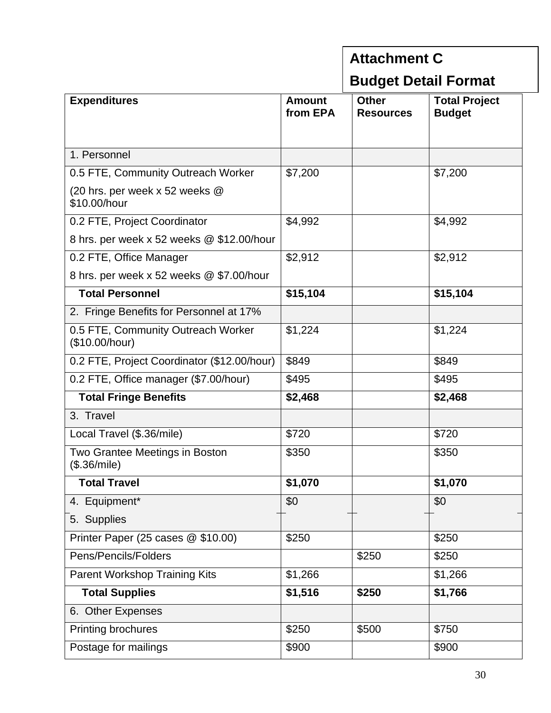### **Attachment C Budget Detail Format Expenditures Amount from EPA Other Resources Total Project Budget**  1. Personnel 0.5 FTE, Community Outreach Worker | \$7,200 | \$7,200 (20 hrs. per week x 52 weeks @ \$10.00/hour 0.2 FTE, Project Coordinator  $\vert$  \$4,992  $\vert$  \$4,992 8 hrs. per week x 52 weeks @ \$12.00/hour 0.2 FTE, Office Manager  $\vert$  \$2,912  $\vert$  \$2,912  $\vert$  \$2,912 8 hrs. per week x 52 weeks @ \$7.00/hour  **Total Personnel \$15,104 \$15,104** 2. Fringe Benefits for Personnel at 17% 0.5 FTE, Community Outreach Worker (\$10.00/hour)  $$1,224$  | \$1,224 0.2 FTE, Project Coordinator (\$12.00/hour) | \$849 | \$849 | \$849 0.2 FTE, Office manager (\$7.00/hour)  $\left| \frac{495}{ } \right|$  \end{bmatrix} \end{bmatrix} \$495  **Total Fringe Benefits \$2,468 \$2,468** 3. Travel Local Travel (\$.36/mile) \$720 \$720 Two Grantee Meetings in Boston (\$.36/mile)  $$350$   $|$350$  **Total Travel \$1,070 \$1,070** 4. Equipment\* 1 \$0 \$0 \$0 5. Supplies Printer Paper (25 cases @ \$10.00)  $\vert$  \$250  $\vert$  \$250  $\vert$  \$250 Pens/Pencils/Folders \$250 \$250 Parent Workshop Training Kits  $\vert$  \$1,266  $\vert$  \$1,266  $\vert$  \$1,266  **Total Supplies \$1,516 \$250 \$1,766** 6. Other Expenses Printing brochures  $\vert$  \$250  $\vert$  \$500  $\vert$  \$750 Postage for mailings \$900 \$900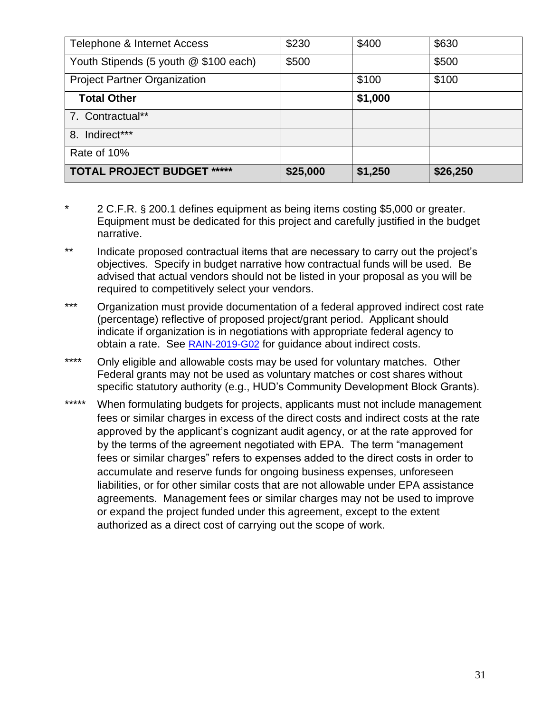| Telephone & Internet Access           | \$230    | \$400   | \$630    |
|---------------------------------------|----------|---------|----------|
| Youth Stipends (5 youth @ \$100 each) | \$500    |         | \$500    |
| <b>Project Partner Organization</b>   |          | \$100   | \$100    |
| <b>Total Other</b>                    |          | \$1,000 |          |
| 7. Contractual**                      |          |         |          |
| 8. Indirect***                        |          |         |          |
| Rate of 10%                           |          |         |          |
| <b>TOTAL PROJECT BUDGET *****</b>     | \$25,000 | \$1,250 | \$26,250 |

- 2 C.F.R. § 200.1 defines equipment as being items costing \$5,000 or greater. Equipment must be dedicated for this project and carefully justified in the budget narrative.
- \*\* Indicate proposed contractual items that are necessary to carry out the project's objectives. Specify in budget narrative how contractual funds will be used. Be advised that actual vendors should not be listed in your proposal as you will be required to competitively select your vendors.
- \*\*\* Organization must provide documentation of a federal approved indirect cost rate (percentage) reflective of proposed project/grant period. Applicant should indicate if organization is in negotiations with appropriate federal agency to obtain a rate. See **[RAIN-2019-G02](https://www.epa.gov/sites/production/files/2019-05/documents/applicant-budget-development-guidance.pdf)** for guidance about indirect costs.
- \*\*\*\* Only eligible and allowable costs may be used for voluntary matches. Other Federal grants may not be used as voluntary matches or cost shares without specific statutory authority (e.g., HUD's Community Development Block Grants).
- \*\*\*\*\* When formulating budgets for projects, applicants must not include management fees or similar charges in excess of the direct costs and indirect costs at the rate approved by the applicant's cognizant audit agency, or at the rate approved for by the terms of the agreement negotiated with EPA. The term "management fees or similar charges" refers to expenses added to the direct costs in order to accumulate and reserve funds for ongoing business expenses, unforeseen liabilities, or for other similar costs that are not allowable under EPA assistance agreements. Management fees or similar charges may not be used to improve or expand the project funded under this agreement, except to the extent authorized as a direct cost of carrying out the scope of work.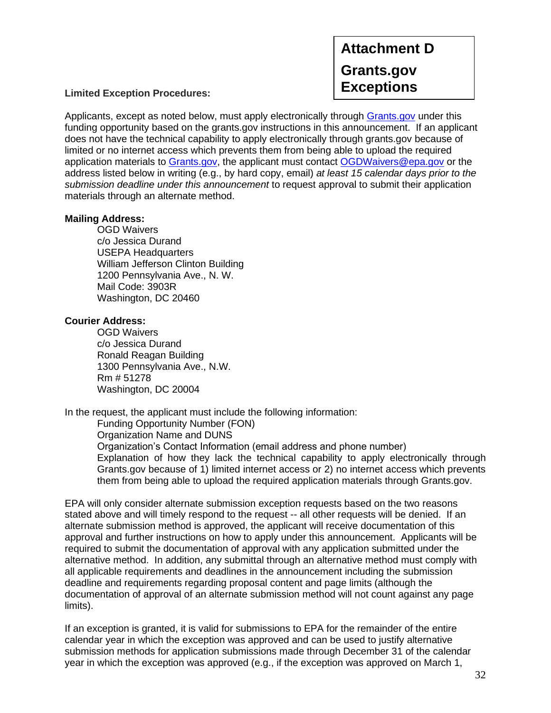**Attachment D Grants.gov** 

**Exceptions Limited Exception Procedures:**

Applicants, except as noted below, must apply electronically through [Grants.gov](https://www.grants.gov/) under this funding opportunity based on the grants.gov instructions in this announcement. If an applicant does not have the technical capability to apply electronically through grants.gov because of limited or no internet access which prevents them from being able to upload the required application materials to [Grants.gov,](https://www.grants.gov/) the applicant must contact [OGDWaivers@epa.gov](mailto:OGDWaivers@epa.gov) or the address listed below in writing (e.g., by hard copy, email) *at least 15 calendar days prior to the submission deadline under this announcement* to request approval to submit their application materials through an alternate method.

#### **Mailing Address:**

OGD Waivers c/o Jessica Durand USEPA Headquarters William Jefferson Clinton Building 1200 Pennsylvania Ave., N. W. Mail Code: 3903R Washington, DC 20460

#### **Courier Address:**

OGD Waivers c/o Jessica Durand Ronald Reagan Building 1300 Pennsylvania Ave., N.W. Rm # 51278 Washington, DC 20004

In the request, the applicant must include the following information:

Funding Opportunity Number (FON)

Organization Name and DUNS

Organization's Contact Information (email address and phone number) Explanation of how they lack the technical capability to apply electronically through Grants.gov because of 1) limited internet access or 2) no internet access which prevents them from being able to upload the required application materials through Grants.gov.

EPA will only consider alternate submission exception requests based on the two reasons stated above and will timely respond to the request -- all other requests will be denied. If an alternate submission method is approved, the applicant will receive documentation of this approval and further instructions on how to apply under this announcement. Applicants will be required to submit the documentation of approval with any application submitted under the alternative method. In addition, any submittal through an alternative method must comply with all applicable requirements and deadlines in the announcement including the submission deadline and requirements regarding proposal content and page limits (although the documentation of approval of an alternate submission method will not count against any page limits).

If an exception is granted, it is valid for submissions to EPA for the remainder of the entire calendar year in which the exception was approved and can be used to justify alternative submission methods for application submissions made through December 31 of the calendar year in which the exception was approved (e.g., if the exception was approved on March 1,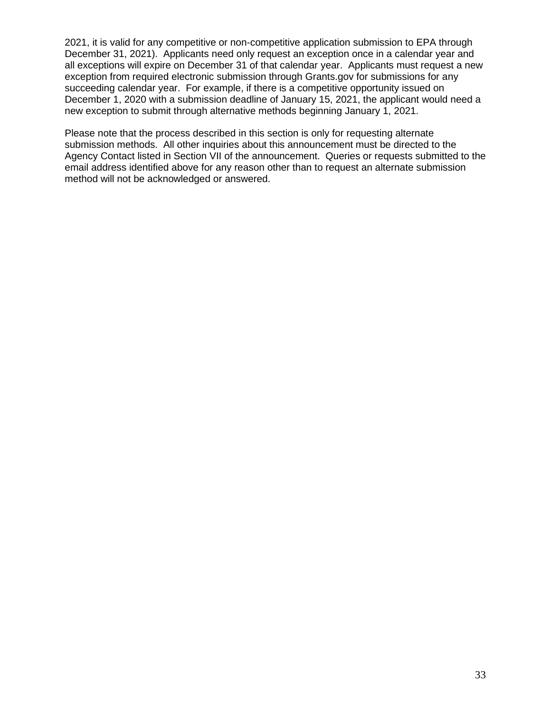2021, it is valid for any competitive or non-competitive application submission to EPA through December 31, 2021). Applicants need only request an exception once in a calendar year and all exceptions will expire on December 31 of that calendar year. Applicants must request a new exception from required electronic submission through Grants.gov for submissions for any succeeding calendar year. For example, if there is a competitive opportunity issued on December 1, 2020 with a submission deadline of January 15, 2021, the applicant would need a new exception to submit through alternative methods beginning January 1, 2021.

Please note that the process described in this section is only for requesting alternate submission methods. All other inquiries about this announcement must be directed to the Agency Contact listed in Section VII of the announcement. Queries or requests submitted to the email address identified above for any reason other than to request an alternate submission method will not be acknowledged or answered.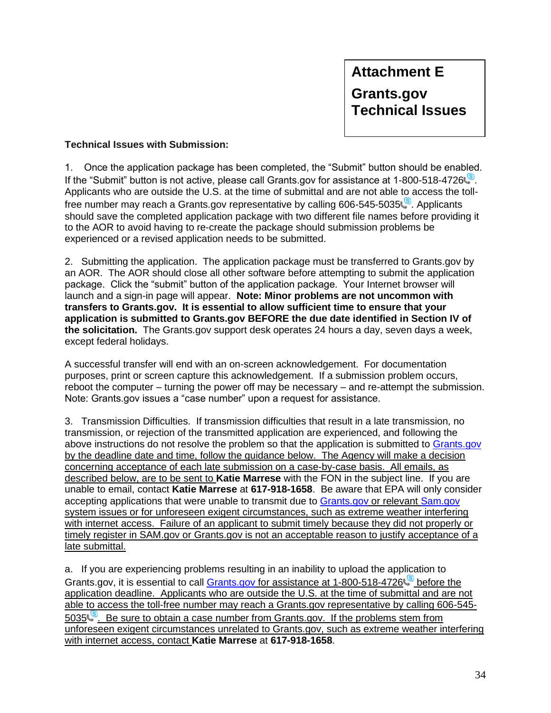#### **Technical Issues with Submission:**

1. Once the application package has been completed, the "Submit" button should be enabled. If the "Submit" button is not active, please call Grants.gov for assistance at 1-800-518-4726 Applicants who are outside the U.S. at the time of submittal and are not able to access the tollfree number may reach a Grants.gov representative by calling 606-545-5035. Applicants should save the completed application package with two different file names before providing it to the AOR to avoid having to re-create the package should submission problems be experienced or a revised application needs to be submitted.

2. Submitting the application. The application package must be transferred to Grants.gov by an AOR. The AOR should close all other software before attempting to submit the application package. Click the "submit" button of the application package. Your Internet browser will launch and a sign-in page will appear. **Note: Minor problems are not uncommon with transfers to Grants.gov. It is essential to allow sufficient time to ensure that your application is submitted to Grants.gov BEFORE the due date identified in Section IV of the solicitation.** The Grants.gov support desk operates 24 hours a day, seven days a week, except federal holidays.

A successful transfer will end with an on-screen acknowledgement. For documentation purposes, print or screen capture this acknowledgement. If a submission problem occurs, reboot the computer – turning the power off may be necessary – and re-attempt the submission. Note: Grants.gov issues a "case number" upon a request for assistance.

3. Transmission Difficulties. If transmission difficulties that result in a late transmission, no transmission, or rejection of the transmitted application are experienced, and following the above instructions do not resolve the problem so that the application is submitted to [Grants.gov](https://www.grants.gov/) by the deadline date and time, follow the guidance below. The Agency will make a decision concerning acceptance of each late submission on a case-by-case basis. All emails, as described below, are to be sent to **Katie Marrese** with the FON in the subject line. If you are unable to email, contact **Katie Marrese** at **617-918-1658**. Be aware that EPA will only consider accepting applications that were unable to transmit due to [Grants.gov](https://www.grants.gov/) or relevant Sam.gov system issues or for unforeseen exigent circumstances, such as extreme weather interfering with internet access. Failure of an applicant to submit timely because they did not properly or timely register in SAM.gov or Grants.gov is not an acceptable reason to justify acceptance of a late submittal.

a. If you are experiencing problems resulting in an inability to upload the application to Grants.gov, it is essential to call [Grants.gov](https://www.grants.gov/) for assistance at 1-800-518-4726 application deadline. Applicants who are outside the U.S. at the time of submittal and are not able to access the toll-free number may reach a Grants.gov representative by calling 606-545- 5035.<sup>[8]</sup>. Be sure to obtain a case number from Grants.gov. If the problems stem from unforeseen exigent circumstances unrelated to Grants.gov, such as extreme weather interfering with internet access, contact **Katie Marrese** at **617-918-1658**.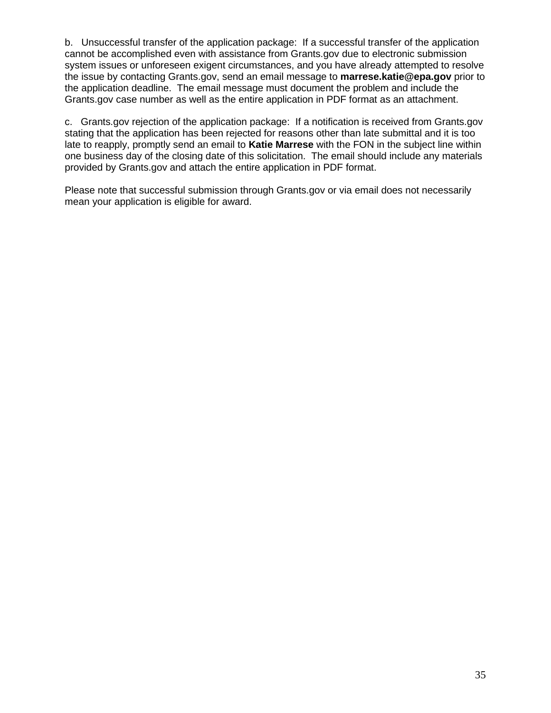b. Unsuccessful transfer of the application package: If a successful transfer of the application cannot be accomplished even with assistance from Grants.gov due to electronic submission system issues or unforeseen exigent circumstances, and you have already attempted to resolve the issue by contacting Grants.gov, send an email message to **marrese.katie@epa.gov** prior to the application deadline. The email message must document the problem and include the Grants.gov case number as well as the entire application in PDF format as an attachment.

c. Grants.gov rejection of the application package: If a notification is received from Grants.gov stating that the application has been rejected for reasons other than late submittal and it is too late to reapply, promptly send an email to **Katie Marrese** with the FON in the subject line within one business day of the closing date of this solicitation. The email should include any materials provided by Grants.gov and attach the entire application in PDF format.

Please note that successful submission through Grants.gov or via email does not necessarily mean your application is eligible for award.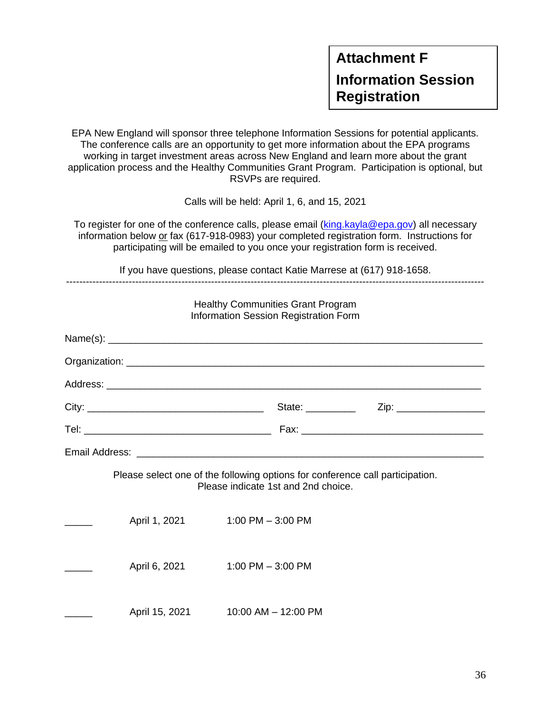EPA New England will sponsor three telephone Information Sessions for potential applicants. The conference calls are an opportunity to get more information about the EPA programs working in target investment areas across New England and learn more about the grant application process and the Healthy Communities Grant Program. Participation is optional, but RSVPs are required.

Calls will be held: April 1, 6, and 15, 2021

To register for one of the conference calls, please email [\(king.kayla@epa.gov\)](mailto:king.kayla@epa.gov) all necessary information below or fax (617-918-0983) your completed registration form. Instructions for participating will be emailed to you once your registration form is received.

If you have questions, please contact Katie Marrese at (617) 918-1658.

|                | <b>Healthy Communities Grant Program</b><br>Information Session Registration Form                                    |                                                 |  |
|----------------|----------------------------------------------------------------------------------------------------------------------|-------------------------------------------------|--|
|                |                                                                                                                      |                                                 |  |
|                |                                                                                                                      |                                                 |  |
|                |                                                                                                                      |                                                 |  |
|                |                                                                                                                      | State: _____________  Zip: ____________________ |  |
|                |                                                                                                                      |                                                 |  |
|                |                                                                                                                      |                                                 |  |
|                | Please select one of the following options for conference call participation.<br>Please indicate 1st and 2nd choice. |                                                 |  |
| April 1, 2021  | $1:00$ PM $-3:00$ PM                                                                                                 |                                                 |  |
| April 6, 2021  | 1:00 PM $-$ 3:00 PM                                                                                                  |                                                 |  |
| April 15, 2021 | 10:00 AM - 12:00 PM                                                                                                  |                                                 |  |